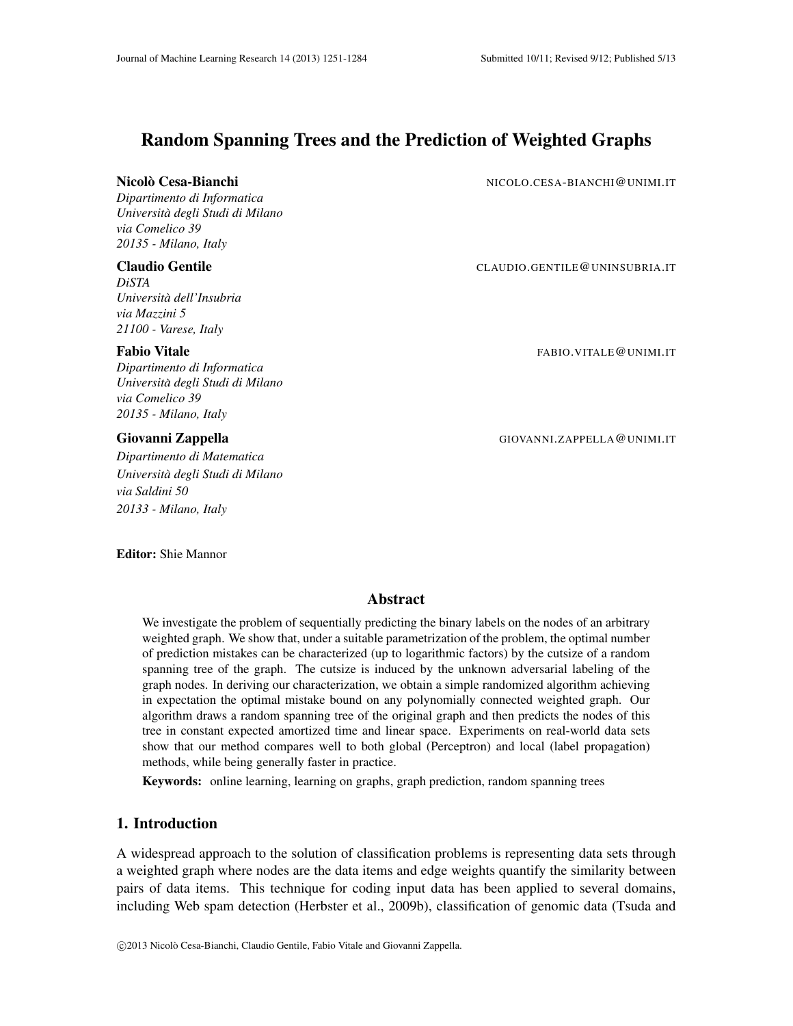# Random Spanning Trees and the Prediction of Weighted Graphs

## Nicolo Cesa-Bianchi ` NICOLO.CESA-BIANCHI@UNIMI.IT

*Dipartimento di Informatica Universita degli Studi di Milano ` via Comelico 39 20135 - Milano, Italy*

*DiSTA Universita dell'Insubria ` via Mazzini 5 21100 - Varese, Italy*

*Dipartimento di Informatica Universita degli Studi di Milano ` via Comelico 39 20135 - Milano, Italy*

*Dipartimento di Matematica Universita degli Studi di Milano ` via Saldini 50 20133 - Milano, Italy*

Editor: Shie Mannor

## Claudio Gentile CLAUDIO.GENTILE@UNINSUBRIA.IT

Fabio Vitale FABIO.VITALE@UNIMI.IT

Giovanni Zappella GIOVANNI.ZAPPELLA @UNIMI.IT

## Abstract

We investigate the problem of sequentially predicting the binary labels on the nodes of an arbitrary weighted graph. We show that, under a suitable parametrization of the problem, the optimal number of prediction mistakes can be characterized (up to logarithmic factors) by the cutsize of a random spanning tree of the graph. The cutsize is induced by the unknown adversarial labeling of the graph nodes. In deriving our characterization, we obtain a simple randomized algorithm achieving in expectation the optimal mistake bound on any polynomially connected weighted graph. Our algorithm draws a random spanning tree of the original graph and then predicts the nodes of this tree in constant expected amortized time and linear space. Experiments on real-world data sets show that our method compares well to both global (Perceptron) and local (label propagation) methods, while being generally faster in practice.

Keywords: online learning, learning on graphs, graph prediction, random spanning trees

## 1. Introduction

A widespread approach to the solution of classification problems is representing data sets through a weighted graph where nodes are the data items and edge weights quantify the similarity between pairs of data items. This technique for coding input data has been applied to several domains, including Web spam detection (Herbster et al., 2009b), classification of genomic data (Tsuda and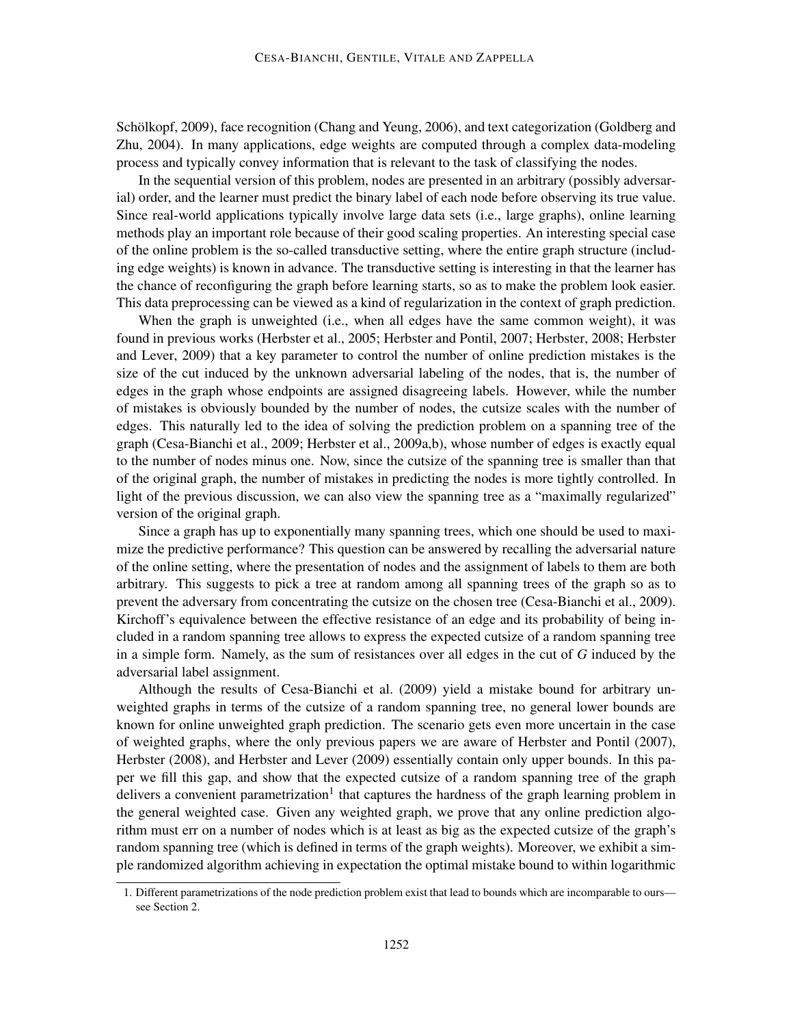Schölkopf, 2009), face recognition (Chang and Yeung, 2006), and text categorization (Goldberg and Zhu, 2004). In many applications, edge weights are computed through a complex data-modeling process and typically convey information that is relevant to the task of classifying the nodes.

In the sequential version of this problem, nodes are presented in an arbitrary (possibly adversarial) order, and the learner must predict the binary label of each node before observing its true value. Since real-world applications typically involve large data sets (i.e., large graphs), online learning methods play an important role because of their good scaling properties. An interesting special case of the online problem is the so-called transductive setting, where the entire graph structure (including edge weights) is known in advance. The transductive setting is interesting in that the learner has the chance of reconfiguring the graph before learning starts, so as to make the problem look easier. This data preprocessing can be viewed as a kind of regularization in the context of graph prediction.

When the graph is unweighted (i.e., when all edges have the same common weight), it was found in previous works (Herbster et al., 2005; Herbster and Pontil, 2007; Herbster, 2008; Herbster and Lever, 2009) that a key parameter to control the number of online prediction mistakes is the size of the cut induced by the unknown adversarial labeling of the nodes, that is, the number of edges in the graph whose endpoints are assigned disagreeing labels. However, while the number of mistakes is obviously bounded by the number of nodes, the cutsize scales with the number of edges. This naturally led to the idea of solving the prediction problem on a spanning tree of the graph (Cesa-Bianchi et al., 2009; Herbster et al., 2009a,b), whose number of edges is exactly equal to the number of nodes minus one. Now, since the cutsize of the spanning tree is smaller than that of the original graph, the number of mistakes in predicting the nodes is more tightly controlled. In light of the previous discussion, we can also view the spanning tree as a "maximally regularized" version of the original graph.

Since a graph has up to exponentially many spanning trees, which one should be used to maximize the predictive performance? This question can be answered by recalling the adversarial nature of the online setting, where the presentation of nodes and the assignment of labels to them are both arbitrary. This suggests to pick a tree at random among all spanning trees of the graph so as to prevent the adversary from concentrating the cutsize on the chosen tree (Cesa-Bianchi et al., 2009). Kirchoff's equivalence between the effective resistance of an edge and its probability of being included in a random spanning tree allows to express the expected cutsize of a random spanning tree in a simple form. Namely, as the sum of resistances over all edges in the cut of *G* induced by the adversarial label assignment.

Although the results of Cesa-Bianchi et al. (2009) yield a mistake bound for arbitrary unweighted graphs in terms of the cutsize of a random spanning tree, no general lower bounds are known for online unweighted graph prediction. The scenario gets even more uncertain in the case of weighted graphs, where the only previous papers we are aware of Herbster and Pontil (2007), Herbster (2008), and Herbster and Lever (2009) essentially contain only upper bounds. In this paper we fill this gap, and show that the expected cutsize of a random spanning tree of the graph delivers a convenient parametrization<sup>1</sup> that captures the hardness of the graph learning problem in the general weighted case. Given any weighted graph, we prove that any online prediction algorithm must err on a number of nodes which is at least as big as the expected cutsize of the graph's random spanning tree (which is defined in terms of the graph weights). Moreover, we exhibit a simple randomized algorithm achieving in expectation the optimal mistake bound to within logarithmic

<sup>1.</sup> Different parametrizations of the node prediction problem exist that lead to bounds which are incomparable to ours see Section 2.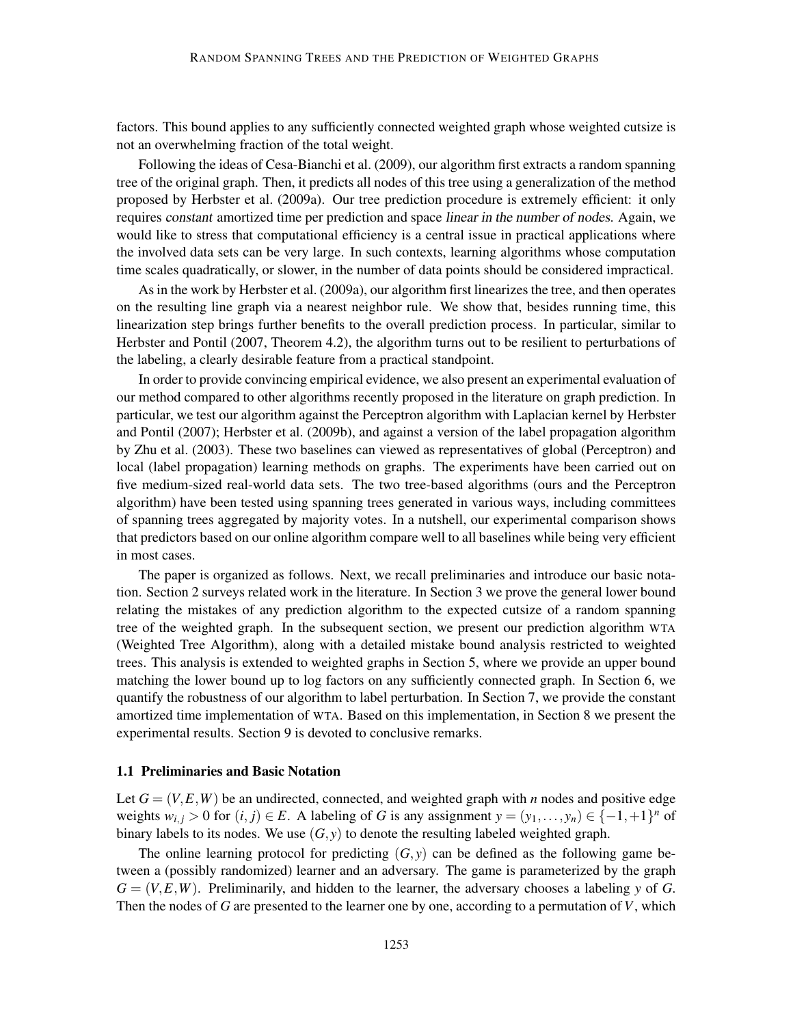factors. This bound applies to any sufficiently connected weighted graph whose weighted cutsize is not an overwhelming fraction of the total weight.

Following the ideas of Cesa-Bianchi et al. (2009), our algorithm first extracts a random spanning tree of the original graph. Then, it predicts all nodes of this tree using a generalization of the method proposed by Herbster et al. (2009a). Our tree prediction procedure is extremely efficient: it only requires constant amortized time per prediction and space linear in the number of nodes. Again, we would like to stress that computational efficiency is a central issue in practical applications where the involved data sets can be very large. In such contexts, learning algorithms whose computation time scales quadratically, or slower, in the number of data points should be considered impractical.

As in the work by Herbster et al. (2009a), our algorithm first linearizes the tree, and then operates on the resulting line graph via a nearest neighbor rule. We show that, besides running time, this linearization step brings further benefits to the overall prediction process. In particular, similar to Herbster and Pontil (2007, Theorem 4.2), the algorithm turns out to be resilient to perturbations of the labeling, a clearly desirable feature from a practical standpoint.

In order to provide convincing empirical evidence, we also present an experimental evaluation of our method compared to other algorithms recently proposed in the literature on graph prediction. In particular, we test our algorithm against the Perceptron algorithm with Laplacian kernel by Herbster and Pontil (2007); Herbster et al. (2009b), and against a version of the label propagation algorithm by Zhu et al. (2003). These two baselines can viewed as representatives of global (Perceptron) and local (label propagation) learning methods on graphs. The experiments have been carried out on five medium-sized real-world data sets. The two tree-based algorithms (ours and the Perceptron algorithm) have been tested using spanning trees generated in various ways, including committees of spanning trees aggregated by majority votes. In a nutshell, our experimental comparison shows that predictors based on our online algorithm compare well to all baselines while being very efficient in most cases.

The paper is organized as follows. Next, we recall preliminaries and introduce our basic notation. Section 2 surveys related work in the literature. In Section 3 we prove the general lower bound relating the mistakes of any prediction algorithm to the expected cutsize of a random spanning tree of the weighted graph. In the subsequent section, we present our prediction algorithm WTA (Weighted Tree Algorithm), along with a detailed mistake bound analysis restricted to weighted trees. This analysis is extended to weighted graphs in Section 5, where we provide an upper bound matching the lower bound up to log factors on any sufficiently connected graph. In Section 6, we quantify the robustness of our algorithm to label perturbation. In Section 7, we provide the constant amortized time implementation of WTA. Based on this implementation, in Section 8 we present the experimental results. Section 9 is devoted to conclusive remarks.

## 1.1 Preliminaries and Basic Notation

Let  $G = (V, E, W)$  be an undirected, connected, and weighted graph with *n* nodes and positive edge weights  $w_{i,j} > 0$  for  $(i, j) \in E$ . A labeling of *G* is any assignment  $y = (y_1, \ldots, y_n) \in \{-1, +1\}^n$  of binary labels to its nodes. We use  $(G, y)$  to denote the resulting labeled weighted graph.

The online learning protocol for predicting  $(G, y)$  can be defined as the following game between a (possibly randomized) learner and an adversary. The game is parameterized by the graph  $G = (V, E, W)$ . Preliminarily, and hidden to the learner, the adversary chooses a labeling *y* of *G*. Then the nodes of *G* are presented to the learner one by one, according to a permutation of *V*, which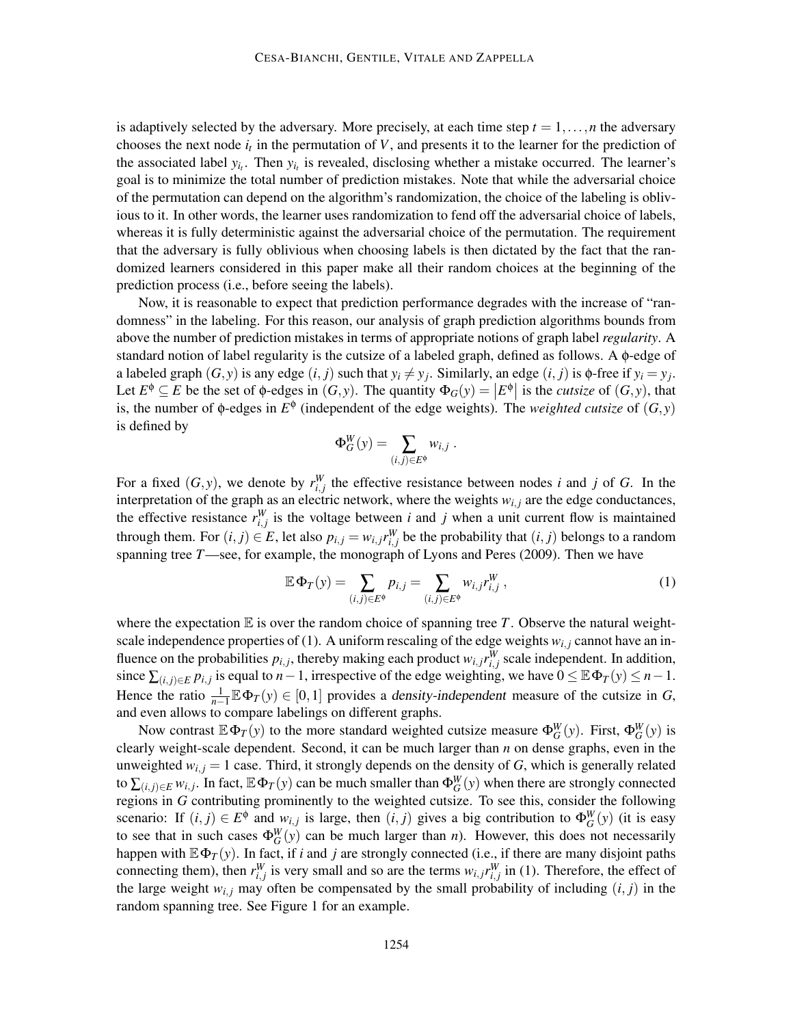is adaptively selected by the adversary. More precisely, at each time step  $t = 1, \ldots, n$  the adversary chooses the next node  $i_t$  in the permutation of  $V$ , and presents it to the learner for the prediction of the associated label  $y_{i_t}$ . Then  $y_{i_t}$  is revealed, disclosing whether a mistake occurred. The learner's goal is to minimize the total number of prediction mistakes. Note that while the adversarial choice of the permutation can depend on the algorithm's randomization, the choice of the labeling is oblivious to it. In other words, the learner uses randomization to fend off the adversarial choice of labels, whereas it is fully deterministic against the adversarial choice of the permutation. The requirement that the adversary is fully oblivious when choosing labels is then dictated by the fact that the randomized learners considered in this paper make all their random choices at the beginning of the prediction process (i.e., before seeing the labels).

Now, it is reasonable to expect that prediction performance degrades with the increase of "randomness" in the labeling. For this reason, our analysis of graph prediction algorithms bounds from above the number of prediction mistakes in terms of appropriate notions of graph label *regularity*. A standard notion of label regularity is the cutsize of a labeled graph, defined as follows. A φ-edge of a labeled graph  $(G, y)$  is any edge  $(i, j)$  such that  $y_i \neq y_j$ . Similarly, an edge  $(i, j)$  is  $\phi$ -free if  $y_i = y_j$ . Let  $E^{\phi} \subseteq E$  be the set of  $\phi$ -edges in  $(G, y)$ . The quantity  $\Phi_G(y) = |E^{\phi}|$  is the *cutsize* of  $(G, y)$ , that is, the number of  $\phi$ -edges in  $E^{\phi}$  (independent of the edge weights). The *weighted cutsize* of  $(G, y)$ is defined by

$$
\Phi_G^W(y) = \sum_{(i,j)\in E^\phi} w_{i,j} .
$$

For a fixed  $(G, y)$ , we denote by  $r_{i,j}^W$  the effective resistance between nodes *i* and *j* of *G*. In the interpretation of the graph as an electric network, where the weights  $w_{i,j}$  are the edge conductances, the effective resistance  $r_{i,j}^W$  is the voltage between *i* and *j* when a unit current flow is maintained through them. For  $(i, j) \in E$ , let also  $p_{i,j} = w_{i,j} r_{i,j}^W$  be the probability that  $(i, j)$  belongs to a random spanning tree *T*—see, for example, the monograph of Lyons and Peres (2009). Then we have

$$
\mathbb{E}\,\Phi_T(y) = \sum_{(i,j)\in E^{\phi}} p_{i,j} = \sum_{(i,j)\in E^{\phi}} w_{i,j} r_{i,j}^W,
$$
\n(1)

where the expectation  $E$  is over the random choice of spanning tree  $T$ . Observe the natural weightscale independence properties of (1). A uniform rescaling of the edge weights  $w_{i,j}$  cannot have an influence on the probabilities  $p_{i,j}$ , thereby making each product  $w_{i,j}r_{i,j}^W$  scale independent. In addition, since  $\sum_{(i,j)\in E} p_{i,j}$  is equal to  $n-1$ , irrespective of the edge weighting, we have  $0 \leq \mathbb{E} \Phi_T(y) \leq n-1$ . Hence the ratio  $\frac{1}{n-1} \mathbb{E} \Phi_T(y) \in [0, 1]$  provides a density-independent measure of the cutsize in *G*, and even allows to compare labelings on different graphs.

Now contrast  $\mathbb{E} \Phi_T(y)$  to the more standard weighted cutsize measure  $\Phi_G^W(y)$ . First,  $\Phi_G^W(y)$  is clearly weight-scale dependent. Second, it can be much larger than *n* on dense graphs, even in the unweighted  $w_{i,j} = 1$  case. Third, it strongly depends on the density of *G*, which is generally related to  $\sum_{(i,j)\in E} w_{i,j}$ . In fact,  $\mathbb{E} \Phi_T(y)$  can be much smaller than  $\Phi_G^W(y)$  when there are strongly connected regions in *G* contributing prominently to the weighted cutsize. To see this, consider the following scenario: If  $(i, j) \in E^{\phi}$  and  $w_{i,j}$  is large, then  $(i, j)$  gives a big contribution to  $\Phi_{G}^{W}(y)$  (it is easy to see that in such cases  $\Phi_G^W(y)$  can be much larger than *n*). However, this does not necessarily happen with  $\mathbb{E}\Phi_T(y)$ . In fact, if *i* and *j* are strongly connected (i.e., if there are many disjoint paths connecting them), then  $r_{i,j}^W$  is very small and so are the terms  $w_{i,j}r_{i,j}^W$  in (1). Therefore, the effect of the large weight  $w_{i,j}$  may often be compensated by the small probability of including  $(i, j)$  in the random spanning tree. See Figure 1 for an example.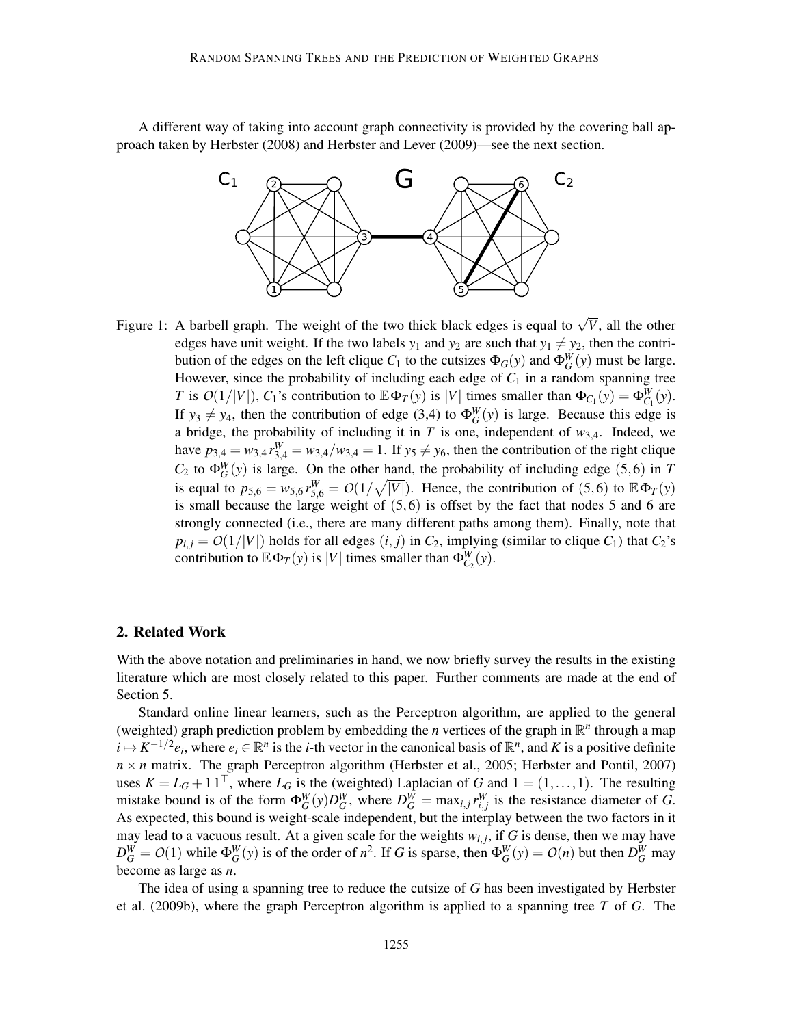A different way of taking into account graph connectivity is provided by the covering ball approach taken by Herbster (2008) and Herbster and Lever (2009)—see the next section.



Figure 1: A barbell graph. The weight of the two thick black edges is equal to  $\sqrt{V}$ , all the other edges have unit weight. If the two labels  $y_1$  and  $y_2$  are such that  $y_1 \neq y_2$ , then the contribution of the edges on the left clique  $C_1$  to the cutsizes  $\Phi_G(y)$  and  $\Phi_G^W(y)$  must be large. However, since the probability of including each edge of  $C_1$  in a random spanning tree *T* is  $O(1/|V|)$ ,  $C_1$ 's contribution to  $\mathbb{E} \Phi_T(y)$  is |*V*| times smaller than  $\Phi_{C_1}(y) = \Phi_{C_1}^W(y)$ . If  $y_3 \neq y_4$ , then the contribution of edge (3,4) to  $\Phi_G^W(y)$  is large. Because this edge is a bridge, the probability of including it in  $T$  is one, independent of  $w_{3,4}$ . Indeed, we have  $p_{3,4} = w_{3,4} r_{3,4}^W = w_{3,4}/w_{3,4} = 1$ . If  $y_5 \neq y_6$ , then the contribution of the right clique  $C_2$  to  $\Phi_G^W(y)$  is large. On the other hand, the probability of including edge (5,6) in *T* is equal to  $p_{5,6} = w_{5,6} r_{5,6}^W = O(1/\sqrt{|V|})$ . Hence, the contribution of (5,6) to  $\mathbb{E} \Phi_T(y)$ is small because the large weight of  $(5,6)$  is offset by the fact that nodes 5 and 6 are strongly connected (i.e., there are many different paths among them). Finally, note that  $p_{i,j} = O(1/|V|)$  holds for all edges  $(i, j)$  in  $C_2$ , implying (similar to clique  $C_1$ ) that  $C_2$ 's contribution to  $\mathbb{E} \Phi_T(y)$  is |*V*| times smaller than  $\Phi_{C_2}^W(y)$ .

### 2. Related Work

With the above notation and preliminaries in hand, we now briefly survey the results in the existing literature which are most closely related to this paper. Further comments are made at the end of Section 5.

Standard online linear learners, such as the Perceptron algorithm, are applied to the general (weighted) graph prediction problem by embedding the *n* vertices of the graph in  $\mathbb{R}^n$  through a map  $i \mapsto K^{-1/2}e_i$ , where  $e_i \in \mathbb{R}^n$  is the *i*-th vector in the canonical basis of  $\mathbb{R}^n$ , and *K* is a positive definite  $n \times n$  matrix. The graph Perceptron algorithm (Herbster et al., 2005; Herbster and Pontil, 2007) uses  $K = L_G + 11^\top$ , where  $L_G$  is the (weighted) Laplacian of *G* and  $1 = (1, \ldots, 1)$ . The resulting mistake bound is of the form  $\Phi_G^W(y)D_G^W$ , where  $D_G^W = \max_{i,j} r_{i,j}^W$  is the resistance diameter of *G*. As expected, this bound is weight-scale independent, but the interplay between the two factors in it may lead to a vacuous result. At a given scale for the weights  $w_{i,j}$ , if G is dense, then we may have  $D_G^W = O(1)$  while  $\Phi_G^W(y)$  is of the order of  $n^2$ . If G is sparse, then  $\Phi_G^W(y) = O(n)$  but then  $D_G^W$  may become as large as *n*.

The idea of using a spanning tree to reduce the cutsize of *G* has been investigated by Herbster et al. (2009b), where the graph Perceptron algorithm is applied to a spanning tree *T* of *G*. The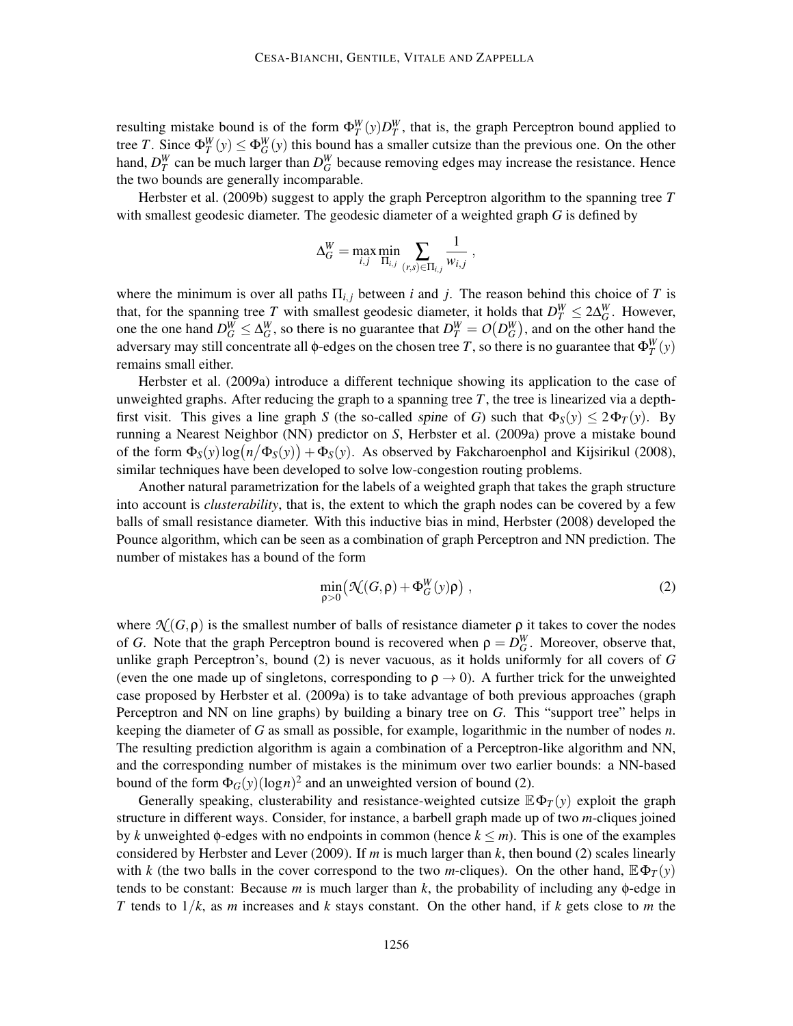resulting mistake bound is of the form  $\Phi_T^W(y)D_T^W$ , that is, the graph Perceptron bound applied to tree *T*. Since  $\Phi_T^W(y) \le \Phi_G^W(y)$  this bound has a smaller cutsize than the previous one. On the other hand,  $D_T^W$  can be much larger than  $D_G^W$  because removing edges may increase the resistance. Hence the two bounds are generally incomparable.

Herbster et al. (2009b) suggest to apply the graph Perceptron algorithm to the spanning tree *T* with smallest geodesic diameter. The geodesic diameter of a weighted graph *G* is defined by

$$
\Delta_G^W = \max_{i,j} \min_{\Pi_{i,j}} \sum_{(r,s)\in \Pi_{i,j}} \frac{1}{w_{i,j}} ,
$$

where the minimum is over all paths  $\Pi_{i,j}$  between *i* and *j*. The reason behind this choice of *T* is that, for the spanning tree *T* with smallest geodesic diameter, it holds that  $D_T^W \le 2\Delta_G^W$ . However, *G* one the one hand  $D_G^W \leq \Delta_G^W$ , so there is no guarantee that  $D_T^W = O(D_G^W)$ , and on the other hand the adversary may still concentrate all φ-edges on the chosen tree *T*, so there is no guarantee that  $\Phi_T^W(y)$ remains small either.

Herbster et al. (2009a) introduce a different technique showing its application to the case of unweighted graphs. After reducing the graph to a spanning tree  $T$ , the tree is linearized via a depthfirst visit. This gives a line graph *S* (the so-called spine of *G*) such that  $\Phi_S(y) \leq 2\Phi_T(y)$ . By running a Nearest Neighbor (NN) predictor on *S*, Herbster et al. (2009a) prove a mistake bound of the form  $\Phi_S(y) \log(n/\Phi_S(y)) + \Phi_S(y)$ . As observed by Fakcharoenphol and Kijsirikul (2008), similar techniques have been developed to solve low-congestion routing problems.

Another natural parametrization for the labels of a weighted graph that takes the graph structure into account is *clusterability*, that is, the extent to which the graph nodes can be covered by a few balls of small resistance diameter. With this inductive bias in mind, Herbster (2008) developed the Pounce algorithm, which can be seen as a combination of graph Perceptron and NN prediction. The number of mistakes has a bound of the form

$$
\min_{\rho>0} \left( \mathcal{N}(G,\rho) + \Phi_G^W(y)\rho \right) ,\tag{2}
$$

where  $\mathcal{N}(G,\rho)$  is the smallest number of balls of resistance diameter  $\rho$  it takes to cover the nodes of *G*. Note that the graph Perceptron bound is recovered when  $\rho = D_G^W$ . Moreover, observe that, unlike graph Perceptron's, bound (2) is never vacuous, as it holds uniformly for all covers of *G* (even the one made up of singletons, corresponding to  $\rho \rightarrow 0$ ). A further trick for the unweighted case proposed by Herbster et al. (2009a) is to take advantage of both previous approaches (graph Perceptron and NN on line graphs) by building a binary tree on *G*. This "support tree" helps in keeping the diameter of *G* as small as possible, for example, logarithmic in the number of nodes *n*. The resulting prediction algorithm is again a combination of a Perceptron-like algorithm and NN, and the corresponding number of mistakes is the minimum over two earlier bounds: a NN-based bound of the form  $\Phi_G(y) (\log n)^2$  and an unweighted version of bound (2).

Generally speaking, clusterability and resistance-weighted cutsize  $\mathbb{E}\Phi_T(y)$  exploit the graph structure in different ways. Consider, for instance, a barbell graph made up of two *m*-cliques joined by *k* unweighted  $\phi$ -edges with no endpoints in common (hence  $k \le m$ ). This is one of the examples considered by Herbster and Lever (2009). If *m* is much larger than *k*, then bound (2) scales linearly with *k* (the two balls in the cover correspond to the two *m*-cliques). On the other hand,  $\mathbb{E}\Phi_T(y)$ tends to be constant: Because *m* is much larger than *k*, the probability of including any φ-edge in *T* tends to 1/*k*, as *m* increases and *k* stays constant. On the other hand, if *k* gets close to *m* the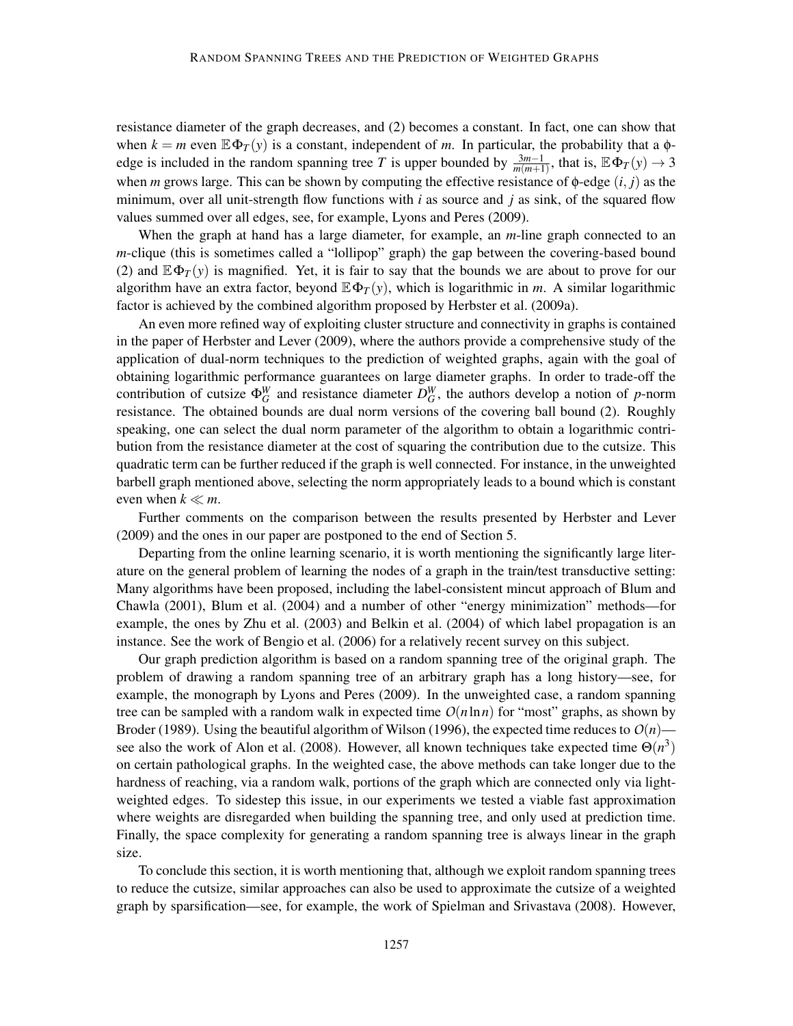resistance diameter of the graph decreases, and (2) becomes a constant. In fact, one can show that when  $k = m$  even  $\mathbb{E} \Phi_T(y)$  is a constant, independent of *m*. In particular, the probability that a  $\phi$ edge is included in the random spanning tree *T* is upper bounded by  $\frac{3m-1}{m(m+1)}$ , that is,  $\mathbb{E}\Phi_T(y) \to 3$ when *m* grows large. This can be shown by computing the effective resistance of  $\phi$ -edge  $(i, j)$  as the minimum, over all unit-strength flow functions with *i* as source and *j* as sink, of the squared flow values summed over all edges, see, for example, Lyons and Peres (2009).

When the graph at hand has a large diameter, for example, an *m*-line graph connected to an *m*-clique (this is sometimes called a "lollipop" graph) the gap between the covering-based bound (2) and  $\mathbb{E}\Phi_T(y)$  is magnified. Yet, it is fair to say that the bounds we are about to prove for our algorithm have an extra factor, beyond  $\mathbb{E}\Phi_T(y)$ , which is logarithmic in *m*. A similar logarithmic factor is achieved by the combined algorithm proposed by Herbster et al. (2009a).

An even more refined way of exploiting cluster structure and connectivity in graphs is contained in the paper of Herbster and Lever (2009), where the authors provide a comprehensive study of the application of dual-norm techniques to the prediction of weighted graphs, again with the goal of obtaining logarithmic performance guarantees on large diameter graphs. In order to trade-off the contribution of cutsize  $\Phi_G^W$  and resistance diameter  $D_G^W$ , the authors develop a notion of *p*-norm resistance. The obtained bounds are dual norm versions of the covering ball bound (2). Roughly speaking, one can select the dual norm parameter of the algorithm to obtain a logarithmic contribution from the resistance diameter at the cost of squaring the contribution due to the cutsize. This quadratic term can be further reduced if the graph is well connected. For instance, in the unweighted barbell graph mentioned above, selecting the norm appropriately leads to a bound which is constant even when  $k \ll m$ .

Further comments on the comparison between the results presented by Herbster and Lever (2009) and the ones in our paper are postponed to the end of Section 5.

Departing from the online learning scenario, it is worth mentioning the significantly large literature on the general problem of learning the nodes of a graph in the train/test transductive setting: Many algorithms have been proposed, including the label-consistent mincut approach of Blum and Chawla (2001), Blum et al. (2004) and a number of other "energy minimization" methods—for example, the ones by Zhu et al. (2003) and Belkin et al. (2004) of which label propagation is an instance. See the work of Bengio et al. (2006) for a relatively recent survey on this subject.

Our graph prediction algorithm is based on a random spanning tree of the original graph. The problem of drawing a random spanning tree of an arbitrary graph has a long history—see, for example, the monograph by Lyons and Peres (2009). In the unweighted case, a random spanning tree can be sampled with a random walk in expected time  $O(n \ln n)$  for "most" graphs, as shown by Broder (1989). Using the beautiful algorithm of Wilson (1996), the expected time reduces to  $O(n)$  see also the work of Alon et al. (2008). However, all known techniques take expected time  $\Theta(n^3)$ on certain pathological graphs. In the weighted case, the above methods can take longer due to the hardness of reaching, via a random walk, portions of the graph which are connected only via lightweighted edges. To sidestep this issue, in our experiments we tested a viable fast approximation where weights are disregarded when building the spanning tree, and only used at prediction time. Finally, the space complexity for generating a random spanning tree is always linear in the graph size.

To conclude this section, it is worth mentioning that, although we exploit random spanning trees to reduce the cutsize, similar approaches can also be used to approximate the cutsize of a weighted graph by sparsification—see, for example, the work of Spielman and Srivastava (2008). However,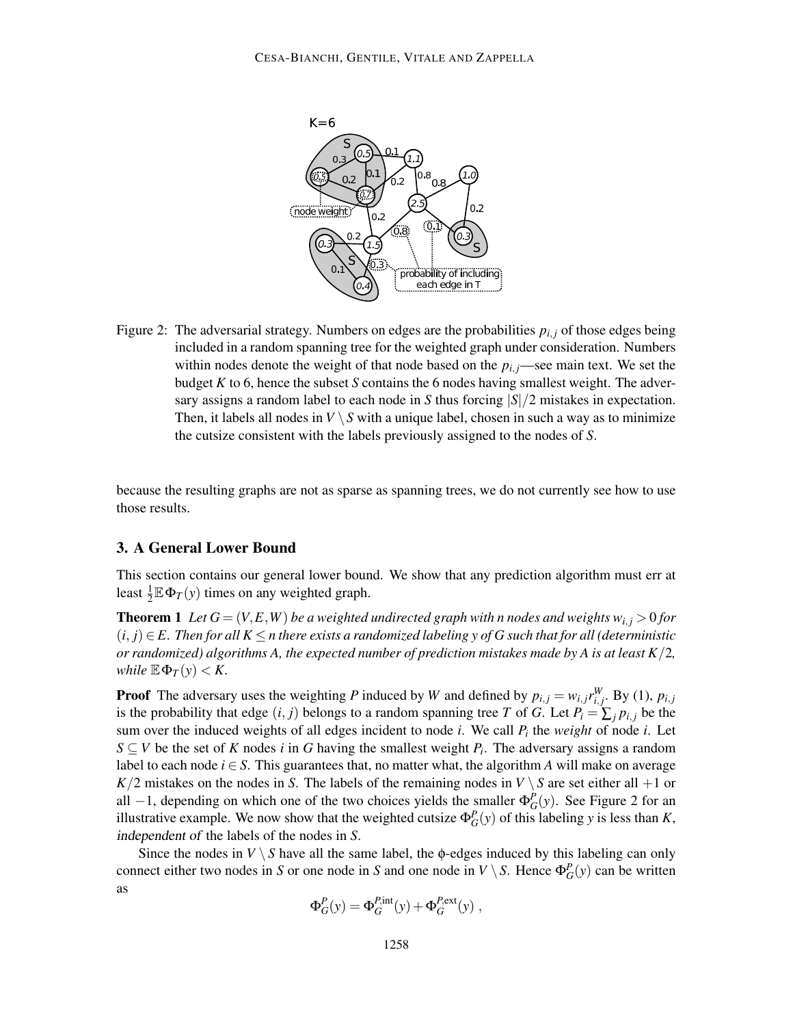

Figure 2: The adversarial strategy. Numbers on edges are the probabilities  $p_{i,j}$  of those edges being included in a random spanning tree for the weighted graph under consideration. Numbers within nodes denote the weight of that node based on the  $p_i$ ,  $\frac{1}{i}$ —see main text. We set the budget *K* to 6, hence the subset *S* contains the 6 nodes having smallest weight. The adversary assigns a random label to each node in *S* thus forcing |*S*|/2 mistakes in expectation. Then, it labels all nodes in  $V \setminus S$  with a unique label, chosen in such a way as to minimize the cutsize consistent with the labels previously assigned to the nodes of *S*.

because the resulting graphs are not as sparse as spanning trees, we do not currently see how to use those results.

## 3. A General Lower Bound

This section contains our general lower bound. We show that any prediction algorithm must err at least  $\frac{1}{2} \mathbb{E} \Phi_T(y)$  times on any weighted graph.

**Theorem 1** Let  $G = (V, E, W)$  be a weighted undirected graph with n nodes and weights  $w_{i,j} > 0$  for  $(i, j) \in E$ . Then for all  $K \leq n$  there exists a randomized labeling y of G such that for all (deterministic *or randomized) algorithms A, the expected number of prediction mistakes made by A is at least K*/2*, while*  $\mathbb{E} \Phi_T(y) < K$ .

**Proof** The adversary uses the weighting *P* induced by *W* and defined by  $p_{i,j} = w_{i,j} r_{i,j}^W$ . By (1),  $p_{i,j}$ is the probability that edge  $(i, j)$  belongs to a random spanning tree *T* of *G*. Let  $P_i = \sum_j p_{i,j}$  be the sum over the induced weights of all edges incident to node *i*. We call *P<sup>i</sup>* the *weight* of node *i*. Let *S*  $\subseteq$  *V* be the set of *K* nodes *i* in *G* having the smallest weight *P<sub>i</sub>*. The adversary assigns a random label to each node  $i \in S$ . This guarantees that, no matter what, the algorithm *A* will make on average *K*/2 mistakes on the nodes in *S*. The labels of the remaining nodes in  $V \setminus S$  are set either all  $+1$  or all  $-1$ , depending on which one of the two choices yields the smaller  $\Phi_G^P(y)$ . See Figure 2 for an illustrative example. We now show that the weighted cutsize  $\Phi_G^P(y)$  of this labeling *y* is less than *K*, independent of the labels of the nodes in *S*.

Since the nodes in  $V \setminus S$  have all the same label, the  $\phi$ -edges induced by this labeling can only connect either two nodes in *S* or one node in *S* and one node in *V* \ *S*. Hence  $\Phi_G^P(y)$  can be written as

$$
\Phi_G^P(y) = \Phi_G^{P,\text{int}}(y) + \Phi_G^{P,\text{ext}}(y) ,
$$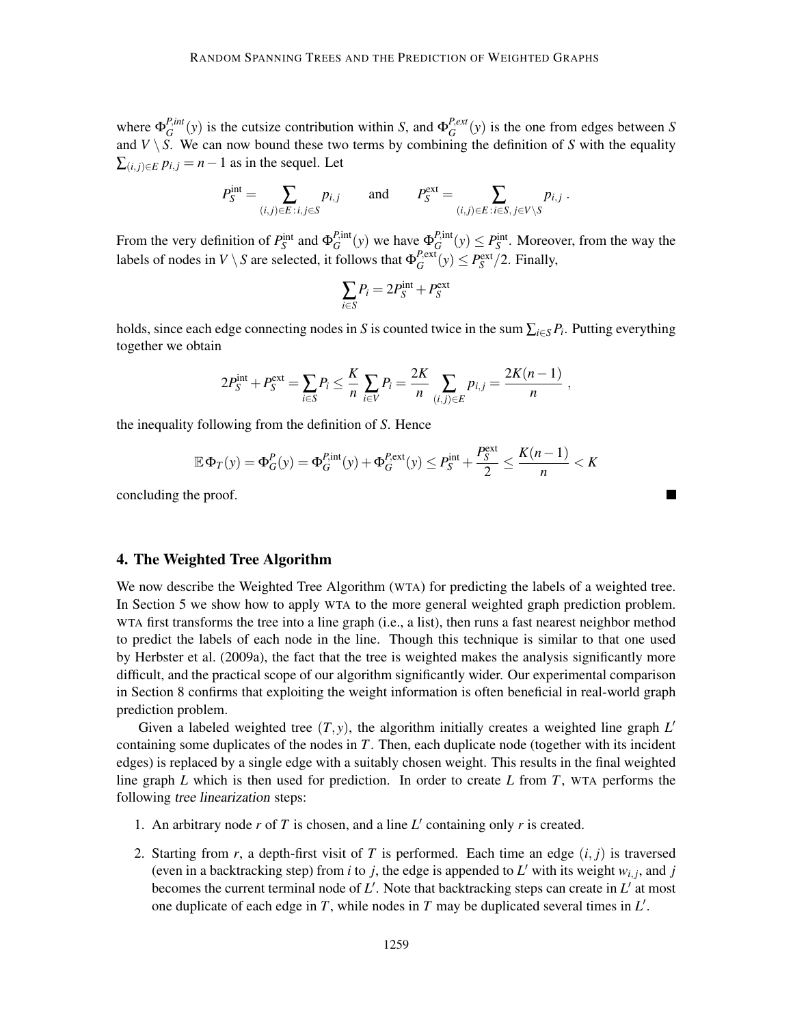where  $\Phi_G^{P,int}$  $G_G^{P, int}(y)$  is the cutsize contribution within *S*, and  $\Phi_G^{P, ext}$  $G$ <sup> $P,$  $e^{i\theta}$ </sup> $(y)$  is the one from edges between *S* and  $V \setminus S$ . We can now bound these two terms by combining the definition of *S* with the equality  $\sum_{(i,j)\in E} p_{i,j} = n-1$  as in the sequel. Let

$$
P_S^{\text{int}} = \sum_{(i,j)\in E \,:\, i,j\in S} p_{i,j} \qquad \text{and} \qquad P_S^{\text{ext}} = \sum_{(i,j)\in E \,:\, i\in S, \,j\in V\setminus S} p_{i,j} \;.
$$

From the very definition of  $P_S^{\text{int}}$  and  $\Phi_G^{P,\text{int}}$  $L_G^{P, \text{int}}(y)$  we have  $\Phi_G^{P, \text{int}}$  $P_{\text{int}}^{\text{P,int}}(y) \leq P_{\text{S}}^{\text{int}}$ . Moreover, from the way the labels of nodes in  $V \setminus S$  are selected, it follows that  $\Phi_G^{P,\text{ext}}$  $P_G^{\text{ext}}(y) \leq P_S^{\text{ext}}/2$ . Finally,

$$
\sum_{i \in S} P_i = 2P_S^{\text{int}} + P_S^{\text{ext}}
$$

holds, since each edge connecting nodes in *S* is counted twice in the sum  $\sum_{i \in S} P_i$ . Putting everything together we obtain

$$
2P_{S}^{\text{int}} + P_{S}^{\text{ext}} = \sum_{i \in S} P_{i} \leq \frac{K}{n} \sum_{i \in V} P_{i} = \frac{2K}{n} \sum_{(i,j) \in E} p_{i,j} = \frac{2K(n-1)}{n},
$$

the inequality following from the definition of *S*. Hence

$$
\mathbb{E}\Phi_T(y) = \Phi_G^P(y) = \Phi_G^{P,\text{int}}(y) + \Phi_G^{P,\text{ext}}(y) \le P_S^{\text{int}} + \frac{P_S^{\text{ext}}}{2} \le \frac{K(n-1)}{n} < K
$$

concluding the proof.

## 4. The Weighted Tree Algorithm

We now describe the Weighted Tree Algorithm (WTA) for predicting the labels of a weighted tree. In Section 5 we show how to apply WTA to the more general weighted graph prediction problem. WTA first transforms the tree into a line graph (i.e., a list), then runs a fast nearest neighbor method to predict the labels of each node in the line. Though this technique is similar to that one used by Herbster et al. (2009a), the fact that the tree is weighted makes the analysis significantly more difficult, and the practical scope of our algorithm significantly wider. Our experimental comparison in Section 8 confirms that exploiting the weight information is often beneficial in real-world graph prediction problem.

Given a labeled weighted tree (*T*, *y*), the algorithm initially creates a weighted line graph *L* ′ containing some duplicates of the nodes in *T*. Then, each duplicate node (together with its incident edges) is replaced by a single edge with a suitably chosen weight. This results in the final weighted line graph *L* which is then used for prediction. In order to create *L* from *T*, WTA performs the following tree linearization steps:

- 1. An arbitrary node  $r$  of  $T$  is chosen, and a line  $L'$  containing only  $r$  is created.
- 2. Starting from *r*, a depth-first visit of *T* is performed. Each time an edge  $(i, j)$  is traversed (even in a backtracking step) from *i* to *j*, the edge is appended to  $L'$  with its weight  $w_{i,j}$ , and *j* becomes the current terminal node of *L* ′ . Note that backtracking steps can create in *L* ′ at most one duplicate of each edge in *T*, while nodes in *T* may be duplicated several times in *L* ′ .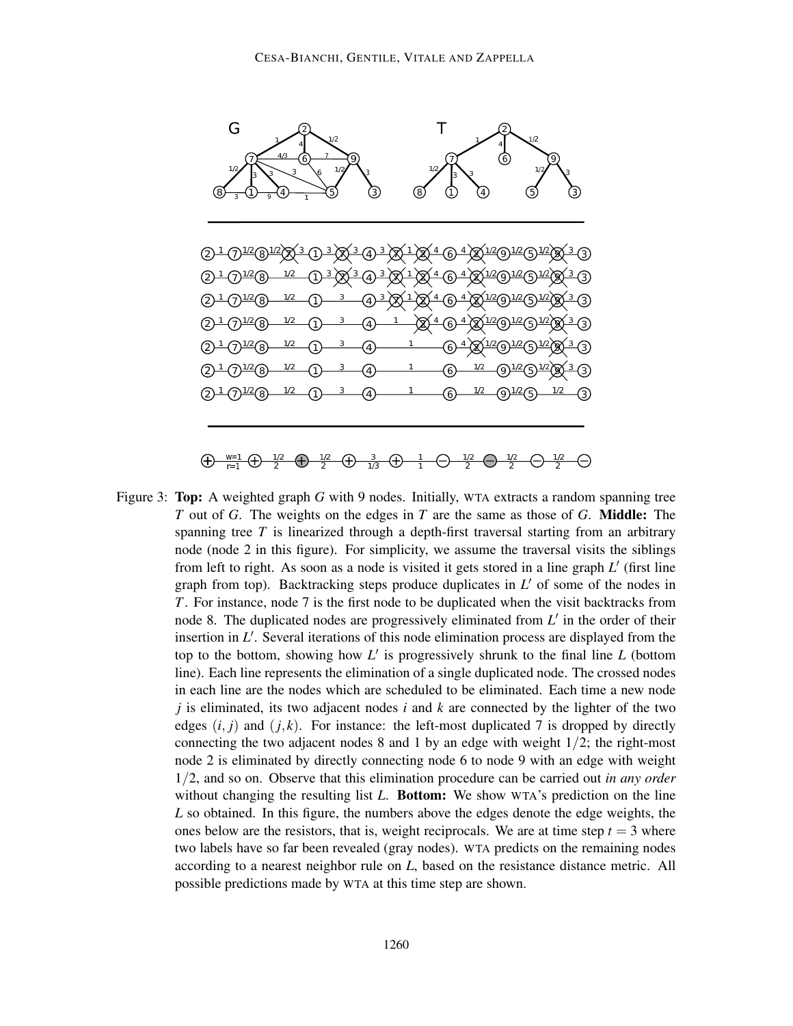

Figure 3: Top: A weighted graph *G* with 9 nodes. Initially, WTA extracts a random spanning tree *T* out of *G*. The weights on the edges in *T* are the same as those of *G*. Middle: The spanning tree *T* is linearized through a depth-first traversal starting from an arbitrary node (node 2 in this figure). For simplicity, we assume the traversal visits the siblings from left to right. As soon as a node is visited it gets stored in a line graph *L* ′ (first line graph from top). Backtracking steps produce duplicates in *L* ′ of some of the nodes in *T*. For instance, node 7 is the first node to be duplicated when the visit backtracks from node 8. The duplicated nodes are progressively eliminated from L' in the order of their insertion in *L* ′ . Several iterations of this node elimination process are displayed from the top to the bottom, showing how *L* ′ is progressively shrunk to the final line *L* (bottom line). Each line represents the elimination of a single duplicated node. The crossed nodes in each line are the nodes which are scheduled to be eliminated. Each time a new node *j* is eliminated, its two adjacent nodes *i* and *k* are connected by the lighter of the two edges  $(i, j)$  and  $(j, k)$ . For instance: the left-most duplicated 7 is dropped by directly connecting the two adjacent nodes 8 and 1 by an edge with weight  $1/2$ ; the right-most node 2 is eliminated by directly connecting node 6 to node 9 with an edge with weight 1/2, and so on. Observe that this elimination procedure can be carried out *in any order* without changing the resulting list *L*. **Bottom:** We show WTA's prediction on the line *L* so obtained. In this figure, the numbers above the edges denote the edge weights, the ones below are the resistors, that is, weight reciprocals. We are at time step  $t = 3$  where two labels have so far been revealed (gray nodes). WTA predicts on the remaining nodes according to a nearest neighbor rule on *L*, based on the resistance distance metric. All possible predictions made by WTA at this time step are shown.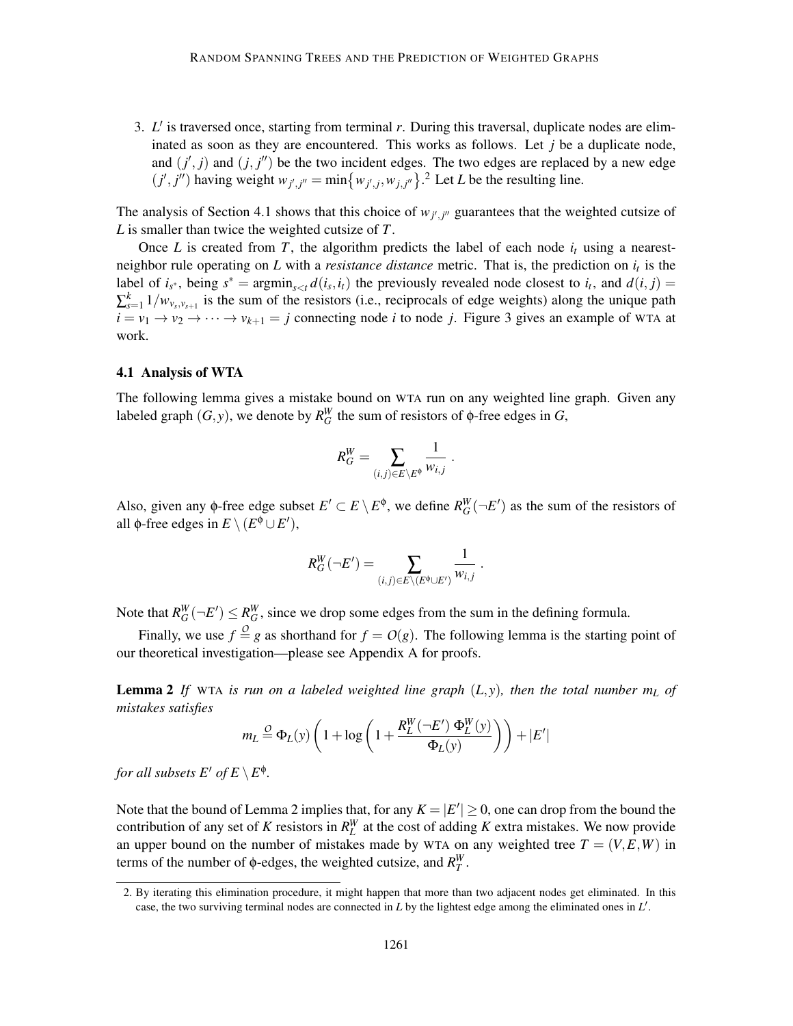3. *L* ′ is traversed once, starting from terminal *r*. During this traversal, duplicate nodes are eliminated as soon as they are encountered. This works as follows. Let *j* be a duplicate node, and  $(j', j)$  and  $(j, j'')$  be the two incident edges. The two edges are replaced by a new edge  $(j', j'')$  having weight  $w_{j', j''} = \min\{w_{j', j}, w_{j, j''}\}$ .<sup>2</sup> Let *L* be the resulting line.

The analysis of Section 4.1 shows that this choice of  $w_{j',j''}$  guarantees that the weighted cutsize of *L* is smaller than twice the weighted cutsize of *T*.

Once *L* is created from *T*, the algorithm predicts the label of each node  $i_t$  using a nearestneighbor rule operating on *L* with a *resistance distance* metric. That is, the prediction on *i<sup>t</sup>* is the label of  $i_{s^*}$ , being  $s^* = \text{argmin}_{s \le t} d(i_s, i_t)$  the previously revealed node closest to  $i_t$ , and  $d(i, j) =$  $\sum_{s=1}^{k} 1/w_{v_s,v_{s+1}}$  is the sum of the resistors (i.e., reciprocals of edge weights) along the unique path  $i = v_1 \rightarrow v_2 \rightarrow \cdots \rightarrow v_{k+1} = j$  connecting node *i* to node *j*. Figure 3 gives an example of WTA at work.

### 4.1 Analysis of WTA

The following lemma gives a mistake bound on WTA run on any weighted line graph. Given any labeled graph  $(G, y)$ , we denote by  $R_G^W$  the sum of resistors of  $\phi$ -free edges in *G*,

$$
R_G^W=\sum_{(i,j)\in E\setminus E^\Phi}\frac{1}{w_{i,j}}\;.
$$

Also, given any  $\phi$ -free edge subset  $E' \subset E \setminus E^{\phi}$ , we define  $R_G^W(\neg E')$  as the sum of the resistors of all  $\phi$ -free edges in  $E \setminus (E^{\phi} \cup E'),$ 

$$
R_G^W(\neg E') = \sum_{(i,j)\in E\setminus (E^{\phi}\cup E')} \frac{1}{w_{i,j}}.
$$

Note that  $R_G^W(-E') \le R_G^W$ , since we drop some edges from the sum in the defining formula.

Finally, we use  $f \stackrel{O}{=} g$  as shorthand for  $f = O(g)$ . The following lemma is the starting point of our theoretical investigation—please see Appendix A for proofs.

**Lemma 2** If WTA is run on a labeled weighted line graph  $(L, y)$ , then the total number  $m<sub>L</sub>$  of *mistakes satisfies*

$$
m_L \stackrel{O}{=} \Phi_L(y) \left( 1 + \log \left( 1 + \frac{R_L^W(-E') \Phi_L^W(y)}{\Phi_L(y)} \right) \right) + |E'|
$$

*for all subsets*  $E'$  *of*  $E \setminus E^{\phi}$ .

Note that the bound of Lemma 2 implies that, for any  $K = |E'| \ge 0$ , one can drop from the bound the contribution of any set of *K* resistors in  $R_L^W$  at the cost of adding *K* extra mistakes. We now provide an upper bound on the number of mistakes made by WTA on any weighted tree  $T = (V, E, W)$  in terms of the number of  $\phi$ -edges, the weighted cutsize, and  $R_T^W$ .

<sup>2.</sup> By iterating this elimination procedure, it might happen that more than two adjacent nodes get eliminated. In this case, the two surviving terminal nodes are connected in *L* by the lightest edge among the eliminated ones in *L* ′ .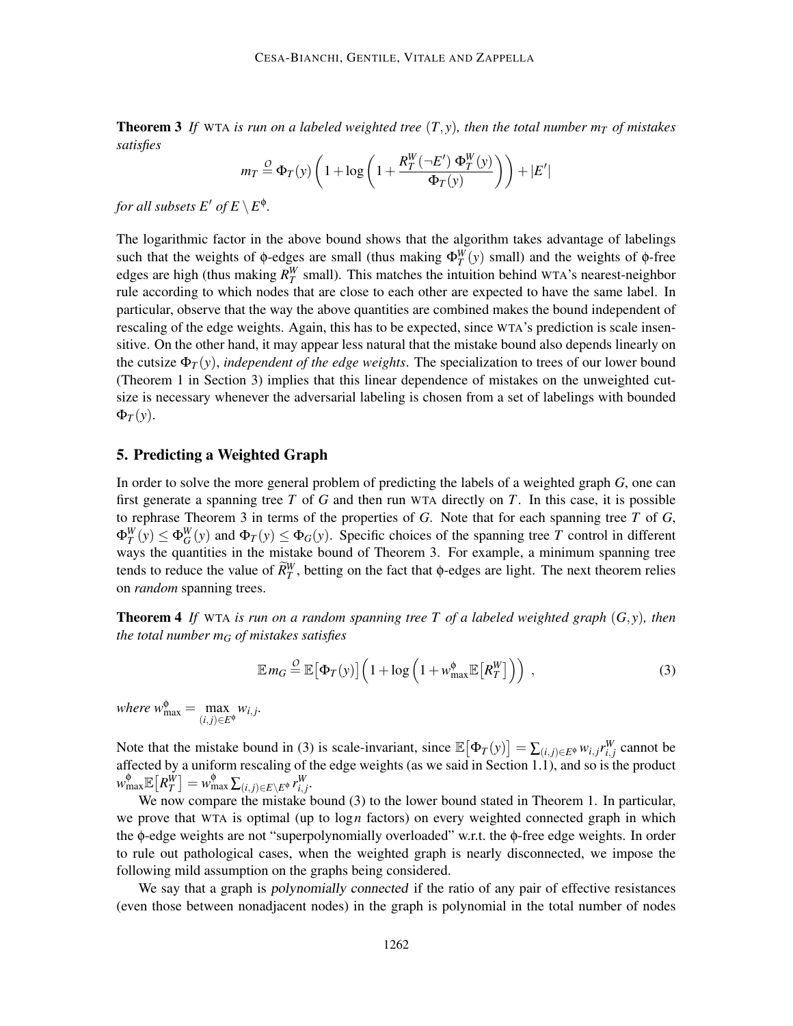**Theorem 3** If WTA is run on a labeled weighted tree  $(T, y)$ , then the total number  $m<sub>T</sub>$  of mistakes *satisfies*

$$
m_T \stackrel{O}{=} \Phi_T(y) \left( 1 + \log \left( 1 + \frac{R_T^W(-E') \Phi_T^W(y)}{\Phi_T(y)} \right) \right) + |E'|
$$

*for all subsets*  $E'$  *of*  $E \setminus E^{\phi}$ .

The logarithmic factor in the above bound shows that the algorithm takes advantage of labelings such that the weights of φ-edges are small (thus making  $Φ_T^W(y)$  small) and the weights of φ-free edges are high (thus making  $R_T^W$  small). This matches the intuition behind WTA's nearest-neighbor rule according to which nodes that are close to each other are expected to have the same label. In particular, observe that the way the above quantities are combined makes the bound independent of rescaling of the edge weights. Again, this has to be expected, since WTA's prediction is scale insensitive. On the other hand, it may appear less natural that the mistake bound also depends linearly on the cutsize  $\Phi_T(y)$ , *independent of the edge weights*. The specialization to trees of our lower bound (Theorem 1 in Section 3) implies that this linear dependence of mistakes on the unweighted cutsize is necessary whenever the adversarial labeling is chosen from a set of labelings with bounded  $\Phi_T(y)$ .

## 5. Predicting a Weighted Graph

In order to solve the more general problem of predicting the labels of a weighted graph *G*, one can first generate a spanning tree *T* of *G* and then run WTA directly on *T*. In this case, it is possible to rephrase Theorem 3 in terms of the properties of *G*. Note that for each spanning tree *T* of *G*,  $\Phi_T^W(y) \le \Phi_G^W(y)$  and  $\Phi_T(y) \le \Phi_G(y)$ . Specific choices of the spanning tree *T* control in different ways the quantities in the mistake bound of Theorem 3. For example, a minimum spanning tree tends to reduce the value of  $\widetilde{R}_T^W$ , betting on the fact that  $\phi$ -edges are light. The next theorem relies on *random* spanning trees.

Theorem 4 *If* WTA *is run on a random spanning tree T of a labeled weighted graph* (*G*, *y*)*, then the total number m<sup>G</sup> of mistakes satisfies*

$$
\mathbb{E} m_G \stackrel{O}{=} \mathbb{E} \big[ \Phi_T(y) \big] \Big( 1 + \log \Big( 1 + w_{\text{max}}^{\phi} \mathbb{E} \big[ R_T^W \big] \Big) \Big) \;, \tag{3}
$$

*where*  $w_{\text{max}}^{\phi} = \max_{\phi \in \mathcal{P}}$  $(i, j)∈E^{\phi}$  $w_{i,j}$ .

Note that the mistake bound in (3) is scale-invariant, since  $\mathbb{E}[\Phi_T(y)] = \sum_{(i,j) \in E^{\phi}} w_{i,j} r_{i,j}^W$  cannot be affected by a uniform rescaling of the edge weights (as we said in Section 1.1), and so is the product  $w_{\text{max}}^{\phi} \mathbb{E}\left[R_{T}^{W}\right] = w_{\text{max}}^{\phi} \sum_{(i,j) \in E \setminus E^{\phi}} r_{i,j}^{W}$ .

We now compare the mistake bound (3) to the lower bound stated in Theorem 1. In particular, we prove that WTA is optimal (up to log*n* factors) on every weighted connected graph in which the φ-edge weights are not "superpolynomially overloaded" w.r.t. the φ-free edge weights. In order to rule out pathological cases, when the weighted graph is nearly disconnected, we impose the following mild assumption on the graphs being considered.

We say that a graph is *polynomially connected* if the ratio of any pair of effective resistances (even those between nonadjacent nodes) in the graph is polynomial in the total number of nodes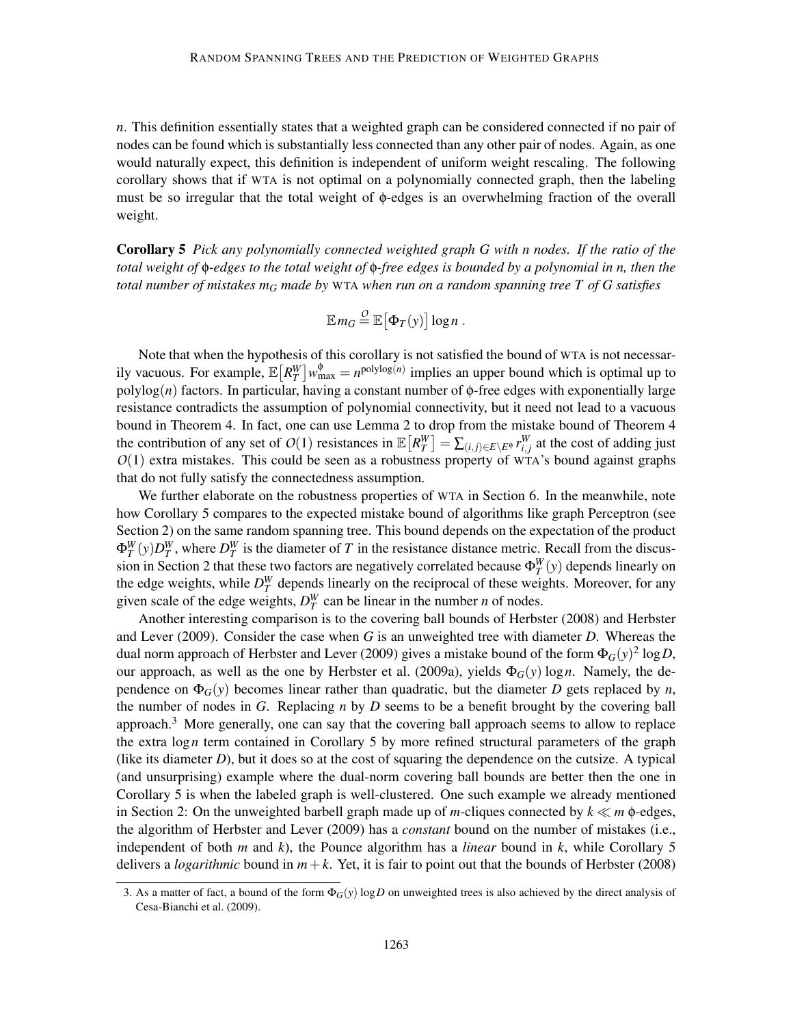*n*. This definition essentially states that a weighted graph can be considered connected if no pair of nodes can be found which is substantially less connected than any other pair of nodes. Again, as one would naturally expect, this definition is independent of uniform weight rescaling. The following corollary shows that if WTA is not optimal on a polynomially connected graph, then the labeling must be so irregular that the total weight of φ-edges is an overwhelming fraction of the overall weight.

Corollary 5 *Pick any polynomially connected weighted graph G with n nodes. If the ratio of the total weight of* φ*-edges to the total weight of* φ*-free edges is bounded by a polynomial in n, then the total number of mistakes m<sup>G</sup> made by* WTA *when run on a random spanning tree T of G satisfies*

$$
\mathbb{E} m_G \stackrel{O}{=} \mathbb{E} [\Phi_T(y)] \log n .
$$

Note that when the hypothesis of this corollary is not satisfied the bound of WTA is not necessarily vacuous. For example,  $\mathbb{E}[R_T^W]w_{\text{max}}^{\phi} = n^{\text{polylog}(n)}$  implies an upper bound which is optimal up to polylog( $n$ ) factors. In particular, having a constant number of  $\phi$ -free edges with exponentially large resistance contradicts the assumption of polynomial connectivity, but it need not lead to a vacuous bound in Theorem 4. In fact, one can use Lemma 2 to drop from the mistake bound of Theorem 4 the contribution of any set of  $O(1)$  resistances in  $\mathbb{E}\left[R_T^W\right] = \sum_{(i,j)\in E\setminus E^0} r_{i,j}^W$  at the cost of adding just *O*(1) extra mistakes. This could be seen as a robustness property of WTA's bound against graphs that do not fully satisfy the connectedness assumption.

We further elaborate on the robustness properties of WTA in Section 6. In the meanwhile, note how Corollary 5 compares to the expected mistake bound of algorithms like graph Perceptron (see Section 2) on the same random spanning tree. This bound depends on the expectation of the product  $\Phi_T^W(y)D_T^W$ , where  $D_T^W$  is the diameter of *T* in the resistance distance metric. Recall from the discussion in Section 2 that these two factors are negatively correlated because  $\Phi_T^W(y)$  depends linearly on the edge weights, while  $D_T^W$  depends linearly on the reciprocal of these weights. Moreover, for any given scale of the edge weights,  $D_T^W$  can be linear in the number *n* of nodes.

Another interesting comparison is to the covering ball bounds of Herbster (2008) and Herbster and Lever (2009). Consider the case when *G* is an unweighted tree with diameter *D*. Whereas the dual norm approach of Herbster and Lever (2009) gives a mistake bound of the form  $\Phi_G(y)^2 \log D,$ our approach, as well as the one by Herbster et al. (2009a), yields Φ*G*(*y*) log*n*. Namely, the dependence on  $\Phi_G(y)$  becomes linear rather than quadratic, but the diameter *D* gets replaced by *n*, the number of nodes in  $G$ . Replacing  $n$  by  $D$  seems to be a benefit brought by the covering ball approach. $3$  More generally, one can say that the covering ball approach seems to allow to replace the extra log*n* term contained in Corollary 5 by more refined structural parameters of the graph (like its diameter *D*), but it does so at the cost of squaring the dependence on the cutsize. A typical (and unsurprising) example where the dual-norm covering ball bounds are better then the one in Corollary 5 is when the labeled graph is well-clustered. One such example we already mentioned in Section 2: On the unweighted barbell graph made up of *m*-cliques connected by *k* ≪ *m* φ-edges, the algorithm of Herbster and Lever (2009) has a *constant* bound on the number of mistakes (i.e., independent of both *m* and *k*), the Pounce algorithm has a *linear* bound in *k*, while Corollary 5 delivers a *logarithmic* bound in  $m+k$ . Yet, it is fair to point out that the bounds of Herbster (2008)

<sup>3.</sup> As a matter of fact, a bound of the form  $\Phi_G(y)$  log *D* on unweighted trees is also achieved by the direct analysis of Cesa-Bianchi et al. (2009).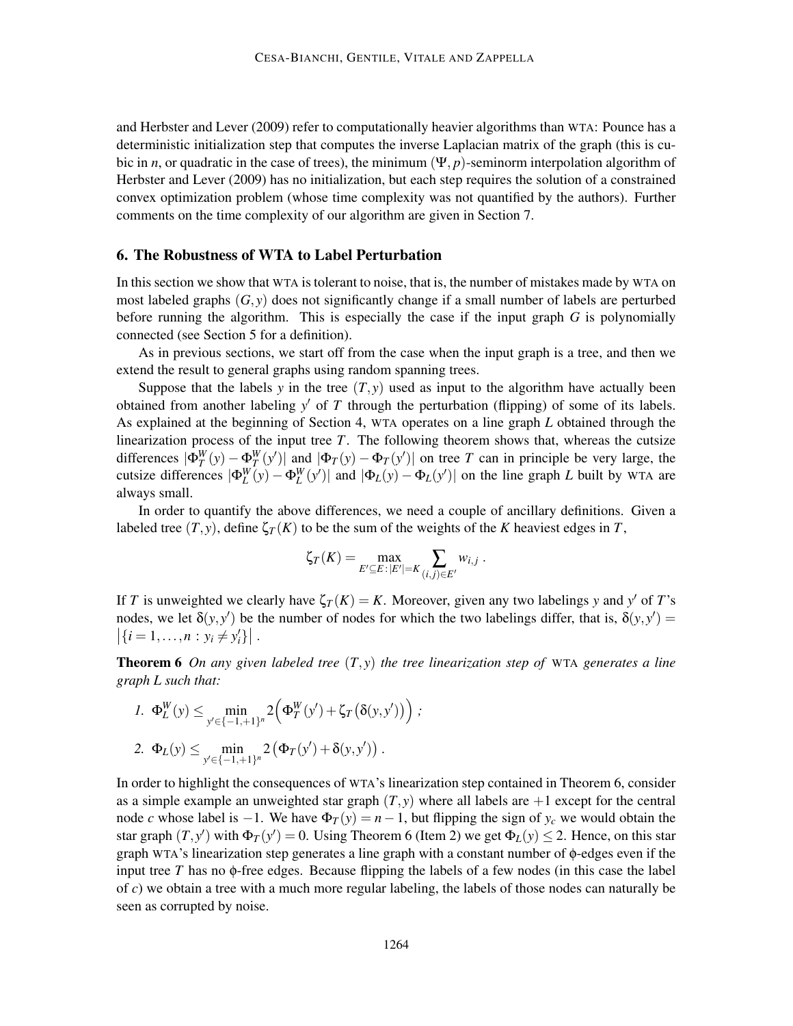and Herbster and Lever (2009) refer to computationally heavier algorithms than WTA: Pounce has a deterministic initialization step that computes the inverse Laplacian matrix of the graph (this is cubic in *n*, or quadratic in the case of trees), the minimum  $(\Psi, p)$ -seminorm interpolation algorithm of Herbster and Lever (2009) has no initialization, but each step requires the solution of a constrained convex optimization problem (whose time complexity was not quantified by the authors). Further comments on the time complexity of our algorithm are given in Section 7.

## 6. The Robustness of WTA to Label Perturbation

In this section we show that WTA is tolerant to noise, that is, the number of mistakes made by WTA on most labeled graphs  $(G, y)$  does not significantly change if a small number of labels are perturbed before running the algorithm. This is especially the case if the input graph *G* is polynomially connected (see Section 5 for a definition).

As in previous sections, we start off from the case when the input graph is a tree, and then we extend the result to general graphs using random spanning trees.

Suppose that the labels *y* in the tree  $(T, y)$  used as input to the algorithm have actually been obtained from another labeling *y* ′ of *T* through the perturbation (flipping) of some of its labels. As explained at the beginning of Section 4, WTA operates on a line graph *L* obtained through the linearization process of the input tree *T*. The following theorem shows that, whereas the cutsize differences  $|\Phi_T^W(y) - \Phi_T^W(y')|$  and  $|\Phi_T(y) - \Phi_T(y')|$  on tree *T* can in principle be very large, the cutsize differences  $|\Phi_L^W(y) - \Phi_L^W(y')|$  and  $|\Phi_L(y) - \Phi_L(y')|$  on the line graph *L* built by WTA are always small.

In order to quantify the above differences, we need a couple of ancillary definitions. Given a labeled tree  $(T, y)$ , define  $\zeta_T(K)$  to be the sum of the weights of the *K* heaviest edges in *T*,

$$
\zeta_T(K) = \max_{E' \subseteq E : |E'| = K} \sum_{(i,j) \in E'} w_{i,j} \; .
$$

If *T* is unweighted we clearly have  $\zeta_T(K) = K$ . Moreover, given any two labelings *y* and *y'* of *T*'s nodes, we let  $\delta(y, y')$  be the number of nodes for which the two labelings differ, that is,  $\delta(y, y') =$  $\left| \{ i = 1, ..., n : y_i \neq y'_i \} \right|$ .

Theorem 6 *On any given labeled tree* (*T*, *y*) *the tree linearization step of* WTA *generates a line graph L such that:*

*;*

$$
1. \ \Phi_L^W(y) \leq \min_{y' \in \{-1, +1\}^n} 2(\Phi_T^W(y') + \zeta_T(\delta(y, y')))
$$
  
2. \ \Phi\_L(y) \leq \min\_{y' \in \{-1, +1\}^n} 2(\Phi\_T(y') + \delta(y, y')) .

In order to highlight the consequences of WTA's linearization step contained in Theorem 6, consider as a simple example an unweighted star graph  $(T, y)$  where all labels are  $+1$  except for the central node *c* whose label is −1. We have  $\Phi_T(y) = n - 1$ , but flipping the sign of  $y_c$  we would obtain the star graph  $(T, y')$  with  $\Phi_T(y') = 0$ . Using Theorem 6 (Item 2) we get  $\Phi_L(y) \le 2$ . Hence, on this star graph WTA's linearization step generates a line graph with a constant number of φ-edges even if the input tree *T* has no  $\phi$ -free edges. Because flipping the labels of a few nodes (in this case the label of *c*) we obtain a tree with a much more regular labeling, the labels of those nodes can naturally be seen as corrupted by noise.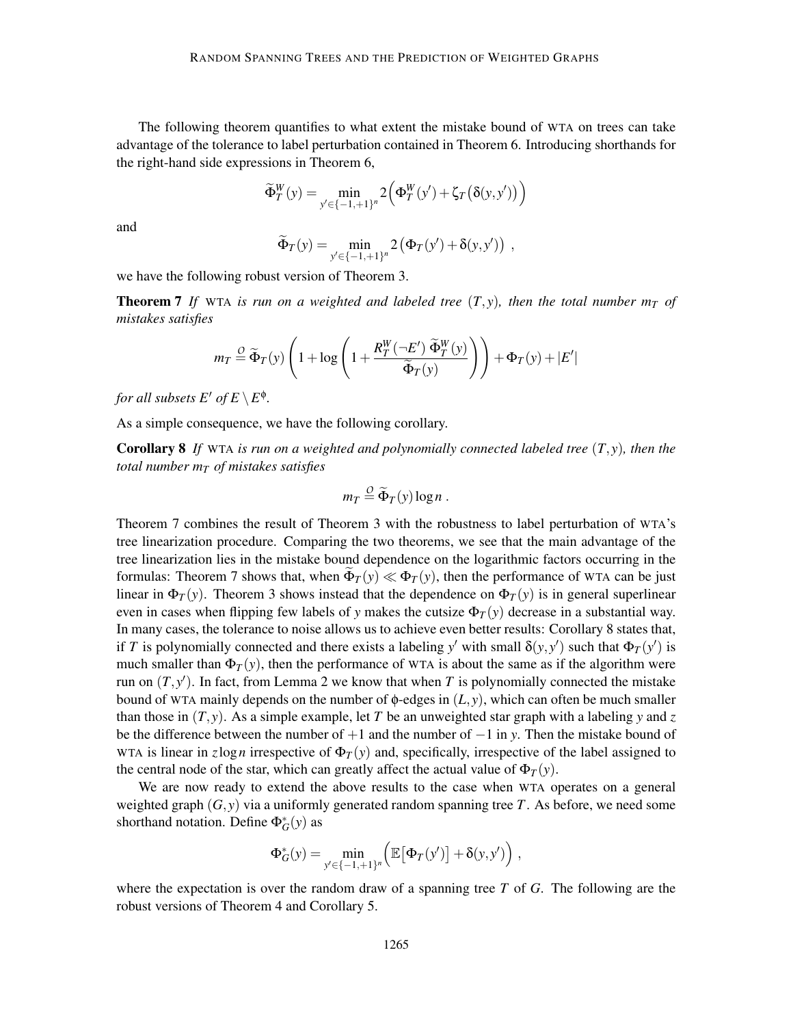The following theorem quantifies to what extent the mistake bound of WTA on trees can take advantage of the tolerance to label perturbation contained in Theorem 6. Introducing shorthands for the right-hand side expressions in Theorem 6,

$$
\widetilde{\Phi}_T^W(y) = \min_{y' \in \{-1,+1\}^n} 2\left(\Phi_T^W(y') + \zeta_T\left(\delta(y,y')\right)\right)
$$

and

$$
\widetilde{\Phi}_T(y) = \min_{y' \in \{-1, +1\}^n} 2(\Phi_T(y') + \delta(y, y')) ,
$$

we have the following robust version of Theorem 3.

**Theorem 7** If WTA is run on a weighted and labeled tree  $(T, y)$ , then the total number  $m<sub>T</sub>$  of *mistakes satisfies*

$$
m_T \stackrel{O}{=} \widetilde{\Phi}_T(y) \left( 1 + \log \left( 1 + \frac{R_T^W(-E') \ \widetilde{\Phi}_T^W(y)}{\widetilde{\Phi}_T(y)} \right) \right) + \Phi_T(y) + |E'|
$$

*for all subsets*  $E'$  *of*  $E \setminus E^{\phi}$ .

As a simple consequence, we have the following corollary.

Corollary 8 *If* WTA *is run on a weighted and polynomially connected labeled tree* (*T*, *y*)*, then the total number m<sup>T</sup> of mistakes satisfies*

$$
m_T \stackrel{O}{=} \widetilde{\Phi}_T(y) \log n \; .
$$

Theorem 7 combines the result of Theorem 3 with the robustness to label perturbation of WTA's tree linearization procedure. Comparing the two theorems, we see that the main advantage of the tree linearization lies in the mistake bound dependence on the logarithmic factors occurring in the formulas: Theorem 7 shows that, when  $\Phi_T(y) \ll \Phi_T(y)$ , then the performance of WTA can be just linear in  $\Phi_T(y)$ . Theorem 3 shows instead that the dependence on  $\Phi_T(y)$  is in general superlinear even in cases when flipping few labels of *y* makes the cutsize  $\Phi_T(y)$  decrease in a substantial way. In many cases, the tolerance to noise allows us to achieve even better results: Corollary 8 states that, if *T* is polynomially connected and there exists a labeling  $y'$  with small  $\delta(y, y')$  such that  $\Phi_T(y')$  is much smaller than  $\Phi_T(y)$ , then the performance of WTA is about the same as if the algorithm were run on  $(T, y')$ . In fact, from Lemma 2 we know that when *T* is polynomially connected the mistake bound of WTA mainly depends on the number of  $\phi$ -edges in  $(L, y)$ , which can often be much smaller than those in  $(T, y)$ . As a simple example, let *T* be an unweighted star graph with a labeling *y* and *z* be the difference between the number of +1 and the number of −1 in *y*. Then the mistake bound of WTA is linear in *z*log*n* irrespective of  $\Phi_T(y)$  and, specifically, irrespective of the label assigned to the central node of the star, which can greatly affect the actual value of  $\Phi_T(y)$ .

We are now ready to extend the above results to the case when WTA operates on a general weighted graph (*G*, *y*) via a uniformly generated random spanning tree *T*. As before, we need some shorthand notation. Define  $\Phi_G^*(y)$  as

$$
\Phi_G^*(y) = \min_{y' \in \{-1, +1\}^n} \left( \mathbb{E}\big[\Phi_T(y')\big] + \delta(y, y') \right),
$$

where the expectation is over the random draw of a spanning tree *T* of *G*. The following are the robust versions of Theorem 4 and Corollary 5.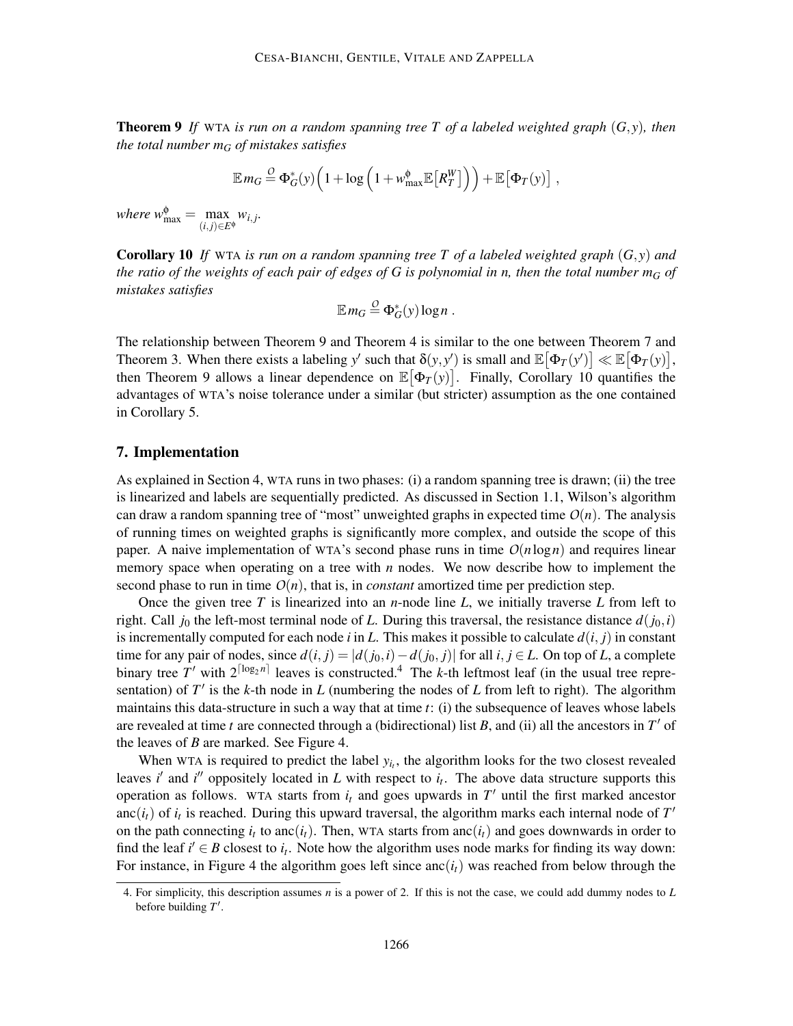Theorem 9 *If* WTA *is run on a random spanning tree T of a labeled weighted graph* (*G*, *y*)*, then the total number m<sup>G</sup> of mistakes satisfies*

$$
\mathbb{E} m_G \stackrel{O}{=} \Phi_G^*(y) \Big( 1 + \log \Big( 1 + w_{\text{max}}^{\phi} \mathbb{E} \big[ R_T^W \big] \Big) \Big) + \mathbb{E} \big[ \Phi_T(y) \big] ,
$$

*where*  $w_{\text{max}}^{\phi} = \max_{\phi \in \mathcal{P}}$  $(i, j)∈E$  $w_{i,j}$ .

Corollary 10 *If* WTA *is run on a random spanning tree T of a labeled weighted graph* (*G*, *y*) *and the ratio of the weights of each pair of edges of G is polynomial in n, then the total number m<sup>G</sup> of mistakes satisfies*

$$
\mathbb{E} m_G \stackrel{O}{=} \Phi_G^*(y) \log n \; .
$$

The relationship between Theorem 9 and Theorem 4 is similar to the one between Theorem 7 and Theorem 3. When there exists a labeling *y'* such that  $\delta(y, y')$  is small and  $\mathbb{E}[\Phi_T(y')] \ll \mathbb{E}[\Phi_T(y)]$ , then Theorem 9 allows a linear dependence on  $\mathbb{E}[\Phi_T(y)]$ . Finally, Corollary 10 quantifies the advantages of WTA's noise tolerance under a similar (but stricter) assumption as the one contained in Corollary 5.

## 7. Implementation

As explained in Section 4, WTA runs in two phases: (i) a random spanning tree is drawn; (ii) the tree is linearized and labels are sequentially predicted. As discussed in Section 1.1, Wilson's algorithm can draw a random spanning tree of "most" unweighted graphs in expected time  $O(n)$ . The analysis of running times on weighted graphs is significantly more complex, and outside the scope of this paper. A naive implementation of WTA's second phase runs in time  $O(n \log n)$  and requires linear memory space when operating on a tree with *n* nodes. We now describe how to implement the second phase to run in time  $O(n)$ , that is, in *constant* amortized time per prediction step.

Once the given tree *T* is linearized into an *n*-node line *L*, we initially traverse *L* from left to right. Call  $j_0$  the left-most terminal node of *L*. During this traversal, the resistance distance  $d(j_0, i)$ is incrementally computed for each node  $i$  in  $L$ . This makes it possible to calculate  $d(i, j)$  in constant time for any pair of nodes, since  $d(i, j) = |d(j_0, i) - d(j_0, j)|$  for all  $i, j \in L$ . On top of *L*, a complete binary tree T' with  $2^{\lceil \log_2 n \rceil}$  leaves is constructed.<sup>4</sup> The *k*-th leftmost leaf (in the usual tree representation) of *T* ′ is the *k*-th node in *L* (numbering the nodes of *L* from left to right). The algorithm maintains this data-structure in such a way that at time *t*: (i) the subsequence of leaves whose labels are revealed at time *t* are connected through a (bidirectional) list *B*, and (ii) all the ancestors in *T* ′ of the leaves of *B* are marked. See Figure 4.

When WTA is required to predict the label  $y_i$ , the algorithm looks for the two closest revealed leaves *i*' and *i*<sup> $\prime$ </sup> oppositely located in *L* with respect to  $i_t$ . The above data structure supports this operation as follows. WTA starts from  $i_t$  and goes upwards in  $T'$  until the first marked ancestor anc $(i_t)$  of  $i_t$  is reached. During this upward traversal, the algorithm marks each internal node of  $T'$ on the path connecting  $i_t$  to anc $(i_t)$ . Then, WTA starts from anc $(i_t)$  and goes downwards in order to find the leaf  $i' \in B$  closest to  $i_t$ . Note how the algorithm uses node marks for finding its way down: For instance, in Figure 4 the algorithm goes left since  $anc(i<sub>t</sub>)$  was reached from below through the

<sup>4.</sup> For simplicity, this description assumes *n* is a power of 2. If this is not the case, we could add dummy nodes to *L* before building *T* ′ .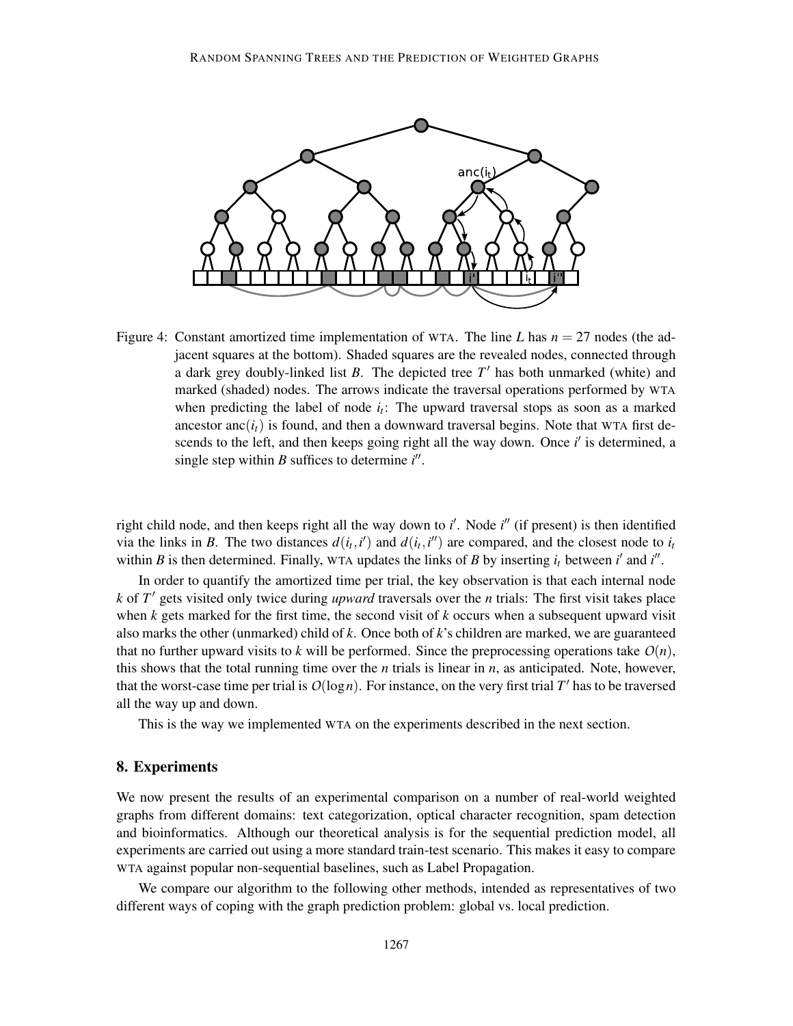

Figure 4: Constant amortized time implementation of WTA. The line *L* has  $n = 27$  nodes (the adjacent squares at the bottom). Shaded squares are the revealed nodes, connected through a dark grey doubly-linked list *B*. The depicted tree *T* ′ has both unmarked (white) and marked (shaded) nodes. The arrows indicate the traversal operations performed by WTA when predicting the label of node  $i_t$ : The upward traversal stops as soon as a marked ancestor anc $(i_t)$  is found, and then a downward traversal begins. Note that WTA first descends to the left, and then keeps going right all the way down. Once *i*' is determined, a single step within  $B$  suffices to determine  $i''$ .

right child node, and then keeps right all the way down to *i'*. Node *i*<sup>"</sup> (if present) is then identified via the links in *B*. The two distances  $d(i_t, i')$  and  $d(i_t, i'')$  are compared, and the closest node to  $i_t$ within *B* is then determined. Finally, WTA updates the links of *B* by inserting  $i_t$  between  $i'$  and  $i''$ .

In order to quantify the amortized time per trial, the key observation is that each internal node *k* of *T* ′ gets visited only twice during *upward* traversals over the *n* trials: The first visit takes place when *k* gets marked for the first time, the second visit of *k* occurs when a subsequent upward visit also marks the other (unmarked) child of *k*. Once both of *k*'s children are marked, we are guaranteed that no further upward visits to k will be performed. Since the preprocessing operations take  $O(n)$ , this shows that the total running time over the  $n$  trials is linear in  $n$ , as anticipated. Note, however, that the worst-case time per trial is  $O(log n)$ . For instance, on the very first trial  $T'$  has to be traversed all the way up and down.

This is the way we implemented WTA on the experiments described in the next section.

## 8. Experiments

We now present the results of an experimental comparison on a number of real-world weighted graphs from different domains: text categorization, optical character recognition, spam detection and bioinformatics. Although our theoretical analysis is for the sequential prediction model, all experiments are carried out using a more standard train-test scenario. This makes it easy to compare WTA against popular non-sequential baselines, such as Label Propagation.

We compare our algorithm to the following other methods, intended as representatives of two different ways of coping with the graph prediction problem: global vs. local prediction.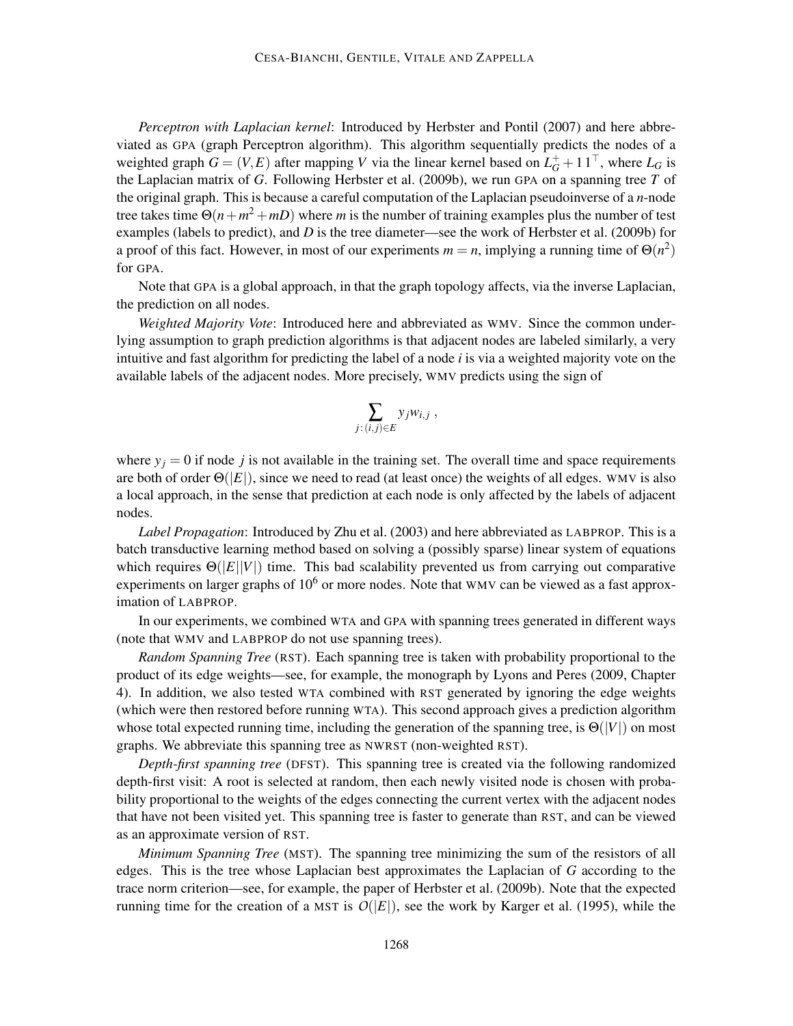*Perceptron with Laplacian kernel*: Introduced by Herbster and Pontil (2007) and here abbreviated as GPA (graph Perceptron algorithm). This algorithm sequentially predicts the nodes of a weighted graph  $G = (V, E)$  after mapping *V* via the linear kernel based on  $L_G^+ + 11^\top$ , where  $L_G$  is the Laplacian matrix of *G*. Following Herbster et al. (2009b), we run GPA on a spanning tree *T* of the original graph. This is because a careful computation of the Laplacian pseudoinverse of a *n*-node tree takes time  $\Theta(n+m^2+mD)$  where *m* is the number of training examples plus the number of test examples (labels to predict), and *D* is the tree diameter—see the work of Herbster et al. (2009b) for a proof of this fact. However, in most of our experiments  $m = n$ , implying a running time of  $\Theta(n^2)$ for GPA.

Note that GPA is a global approach, in that the graph topology affects, via the inverse Laplacian, the prediction on all nodes.

*Weighted Majority Vote*: Introduced here and abbreviated as WMV. Since the common underlying assumption to graph prediction algorithms is that adjacent nodes are labeled similarly, a very intuitive and fast algorithm for predicting the label of a node *i* is via a weighted majority vote on the available labels of the adjacent nodes. More precisely, WMV predicts using the sign of

$$
\sum_{j:(i,j)\in E}y_jw_{i,j}\;,
$$

where  $y_j = 0$  if node *j* is not available in the training set. The overall time and space requirements are both of order  $\Theta(|E|)$ , since we need to read (at least once) the weights of all edges. WMV is also a local approach, in the sense that prediction at each node is only affected by the labels of adjacent nodes.

*Label Propagation*: Introduced by Zhu et al. (2003) and here abbreviated as LABPROP. This is a batch transductive learning method based on solving a (possibly sparse) linear system of equations which requires  $\Theta(|E||V|)$  time. This bad scalability prevented us from carrying out comparative experiments on larger graphs of  $10^6$  or more nodes. Note that WMV can be viewed as a fast approximation of LABPROP.

In our experiments, we combined WTA and GPA with spanning trees generated in different ways (note that WMV and LABPROP do not use spanning trees).

*Random Spanning Tree* (RST). Each spanning tree is taken with probability proportional to the product of its edge weights—see, for example, the monograph by Lyons and Peres (2009, Chapter 4). In addition, we also tested WTA combined with RST generated by ignoring the edge weights (which were then restored before running WTA). This second approach gives a prediction algorithm whose total expected running time, including the generation of the spanning tree, is  $\Theta(|V|)$  on most graphs. We abbreviate this spanning tree as NWRST (non-weighted RST).

*Depth-first spanning tree* (DFST). This spanning tree is created via the following randomized depth-first visit: A root is selected at random, then each newly visited node is chosen with probability proportional to the weights of the edges connecting the current vertex with the adjacent nodes that have not been visited yet. This spanning tree is faster to generate than RST, and can be viewed as an approximate version of RST.

*Minimum Spanning Tree* (MST). The spanning tree minimizing the sum of the resistors of all edges. This is the tree whose Laplacian best approximates the Laplacian of *G* according to the trace norm criterion—see, for example, the paper of Herbster et al. (2009b). Note that the expected running time for the creation of a MST is  $O(|E|)$ , see the work by Karger et al. (1995), while the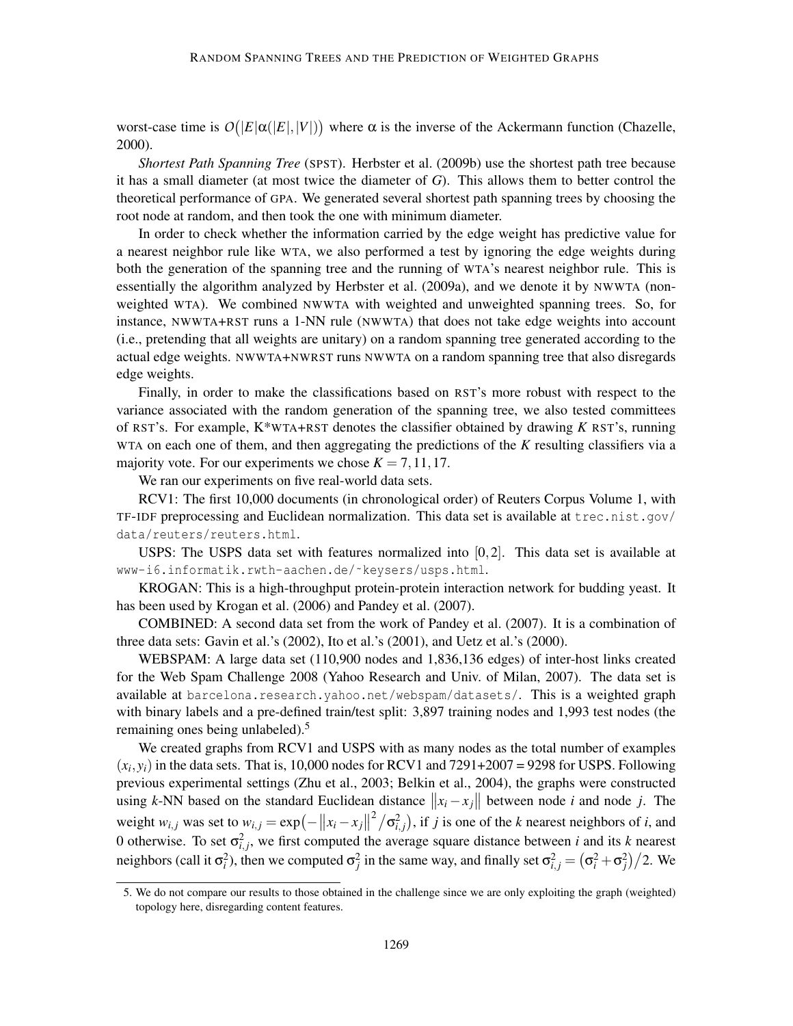worst-case time is  $O(|E|\alpha(|E|,|V|))$  where  $\alpha$  is the inverse of the Ackermann function (Chazelle, 2000).

*Shortest Path Spanning Tree* (SPST). Herbster et al. (2009b) use the shortest path tree because it has a small diameter (at most twice the diameter of *G*). This allows them to better control the theoretical performance of GPA. We generated several shortest path spanning trees by choosing the root node at random, and then took the one with minimum diameter.

In order to check whether the information carried by the edge weight has predictive value for a nearest neighbor rule like WTA, we also performed a test by ignoring the edge weights during both the generation of the spanning tree and the running of WTA's nearest neighbor rule. This is essentially the algorithm analyzed by Herbster et al. (2009a), and we denote it by NWWTA (nonweighted WTA). We combined NWWTA with weighted and unweighted spanning trees. So, for instance, NWWTA+RST runs a 1-NN rule (NWWTA) that does not take edge weights into account (i.e., pretending that all weights are unitary) on a random spanning tree generated according to the actual edge weights. NWWTA+NWRST runs NWWTA on a random spanning tree that also disregards edge weights.

Finally, in order to make the classifications based on RST's more robust with respect to the variance associated with the random generation of the spanning tree, we also tested committees of RST's. For example, K\*WTA+RST denotes the classifier obtained by drawing *K* RST's, running WTA on each one of them, and then aggregating the predictions of the *K* resulting classifiers via a majority vote. For our experiments we chose  $K = 7, 11, 17$ .

We ran our experiments on five real-world data sets.

RCV1: The first 10,000 documents (in chronological order) of Reuters Corpus Volume 1, with TF-IDF preprocessing and Euclidean normalization. This data set is available at  $tree.nist.qov/$ data/reuters/reuters.html.

USPS: The USPS data set with features normalized into  $[0,2]$ . This data set is available at www-i6.informatik.rwth-aachen.de/˜keysers/usps.html.

KROGAN: This is a high-throughput protein-protein interaction network for budding yeast. It has been used by Krogan et al. (2006) and Pandey et al. (2007).

COMBINED: A second data set from the work of Pandey et al. (2007). It is a combination of three data sets: Gavin et al.'s (2002), Ito et al.'s (2001), and Uetz et al.'s (2000).

WEBSPAM: A large data set (110,900 nodes and 1,836,136 edges) of inter-host links created for the Web Spam Challenge 2008 (Yahoo Research and Univ. of Milan, 2007). The data set is available at barcelona.research.yahoo.net/webspam/datasets/. This is a weighted graph with binary labels and a pre-defined train/test split: 3,897 training nodes and 1,993 test nodes (the remaining ones being unlabeled).<sup>5</sup>

We created graphs from RCV1 and USPS with as many nodes as the total number of examples  $(x_i, y_i)$  in the data sets. That is, 10,000 nodes for RCV1 and 7291+2007 = 9298 for USPS. Following previous experimental settings (Zhu et al., 2003; Belkin et al., 2004), the graphs were constructed using *k*-NN based on the standard Euclidean distance  $||x_i - x_j||$  between node *i* and node *j*. The weight  $w_{i,j}$  was set to  $w_{i,j} = \exp(-\left\|x_i - x_j\right\|^2 / \sigma_{i,j}^2)$ , if *j* is one of the *k* nearest neighbors of *i*, and 0 otherwise. To set  $\sigma_{i,j}^2$ , we first computed the average square distance between *i* and its *k* nearest neighbors (call it  $\sigma_i^2$ ), then we computed  $\sigma_j^2$  in the same way, and finally set  $\sigma_{i,j}^2 = (\sigma_i^2 + \sigma_j^2)/2$ . We

<sup>5.</sup> We do not compare our results to those obtained in the challenge since we are only exploiting the graph (weighted) topology here, disregarding content features.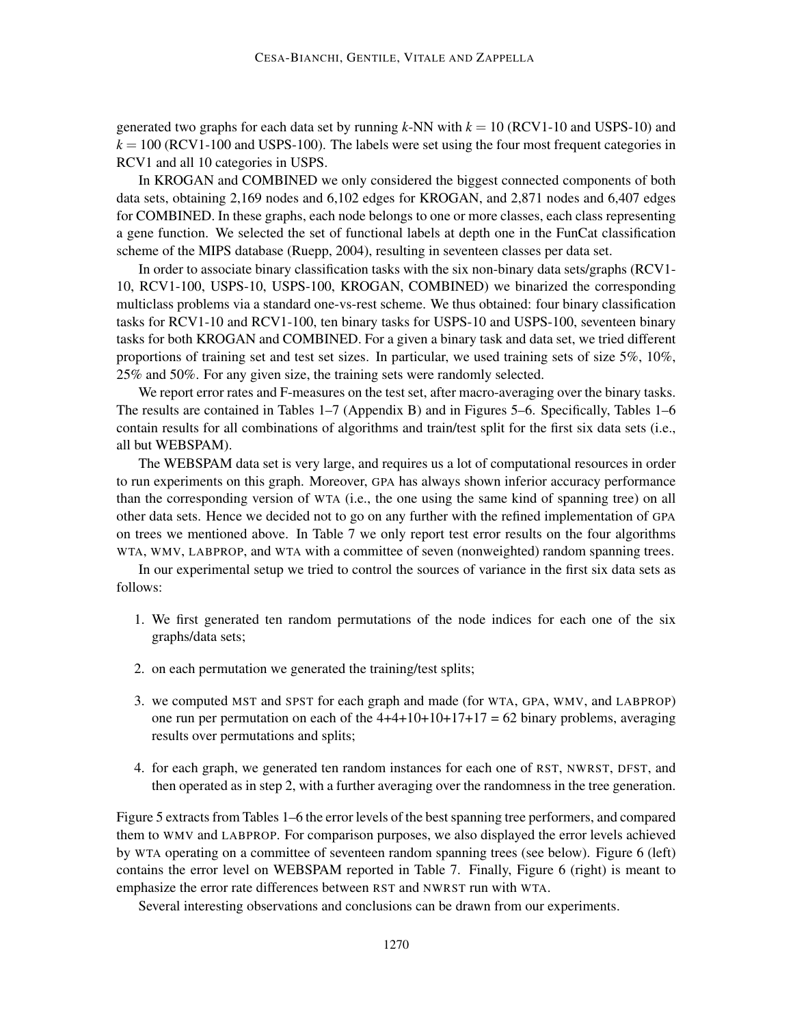generated two graphs for each data set by running  $k$ -NN with  $k = 10$  (RCV1-10 and USPS-10) and  $k = 100$  (RCV1-100 and USPS-100). The labels were set using the four most frequent categories in RCV1 and all 10 categories in USPS.

In KROGAN and COMBINED we only considered the biggest connected components of both data sets, obtaining 2,169 nodes and 6,102 edges for KROGAN, and 2,871 nodes and 6,407 edges for COMBINED. In these graphs, each node belongs to one or more classes, each class representing a gene function. We selected the set of functional labels at depth one in the FunCat classification scheme of the MIPS database (Ruepp, 2004), resulting in seventeen classes per data set.

In order to associate binary classification tasks with the six non-binary data sets/graphs (RCV1- 10, RCV1-100, USPS-10, USPS-100, KROGAN, COMBINED) we binarized the corresponding multiclass problems via a standard one-vs-rest scheme. We thus obtained: four binary classification tasks for RCV1-10 and RCV1-100, ten binary tasks for USPS-10 and USPS-100, seventeen binary tasks for both KROGAN and COMBINED. For a given a binary task and data set, we tried different proportions of training set and test set sizes. In particular, we used training sets of size 5%, 10%, 25% and 50%. For any given size, the training sets were randomly selected.

We report error rates and F-measures on the test set, after macro-averaging over the binary tasks. The results are contained in Tables 1–7 (Appendix B) and in Figures 5–6. Specifically, Tables 1–6 contain results for all combinations of algorithms and train/test split for the first six data sets (i.e., all but WEBSPAM).

The WEBSPAM data set is very large, and requires us a lot of computational resources in order to run experiments on this graph. Moreover, GPA has always shown inferior accuracy performance than the corresponding version of WTA (i.e., the one using the same kind of spanning tree) on all other data sets. Hence we decided not to go on any further with the refined implementation of GPA on trees we mentioned above. In Table 7 we only report test error results on the four algorithms WTA, WMV, LABPROP, and WTA with a committee of seven (nonweighted) random spanning trees.

In our experimental setup we tried to control the sources of variance in the first six data sets as follows:

- 1. We first generated ten random permutations of the node indices for each one of the six graphs/data sets;
- 2. on each permutation we generated the training/test splits;
- 3. we computed MST and SPST for each graph and made (for WTA, GPA, WMV, and LABPROP) one run per permutation on each of the  $4+4+10+10+17+17 = 62$  binary problems, averaging results over permutations and splits;
- 4. for each graph, we generated ten random instances for each one of RST, NWRST, DFST, and then operated as in step 2, with a further averaging over the randomness in the tree generation.

Figure 5 extracts from Tables 1–6 the error levels of the best spanning tree performers, and compared them to WMV and LABPROP. For comparison purposes, we also displayed the error levels achieved by WTA operating on a committee of seventeen random spanning trees (see below). Figure 6 (left) contains the error level on WEBSPAM reported in Table 7. Finally, Figure 6 (right) is meant to emphasize the error rate differences between RST and NWRST run with WTA.

Several interesting observations and conclusions can be drawn from our experiments.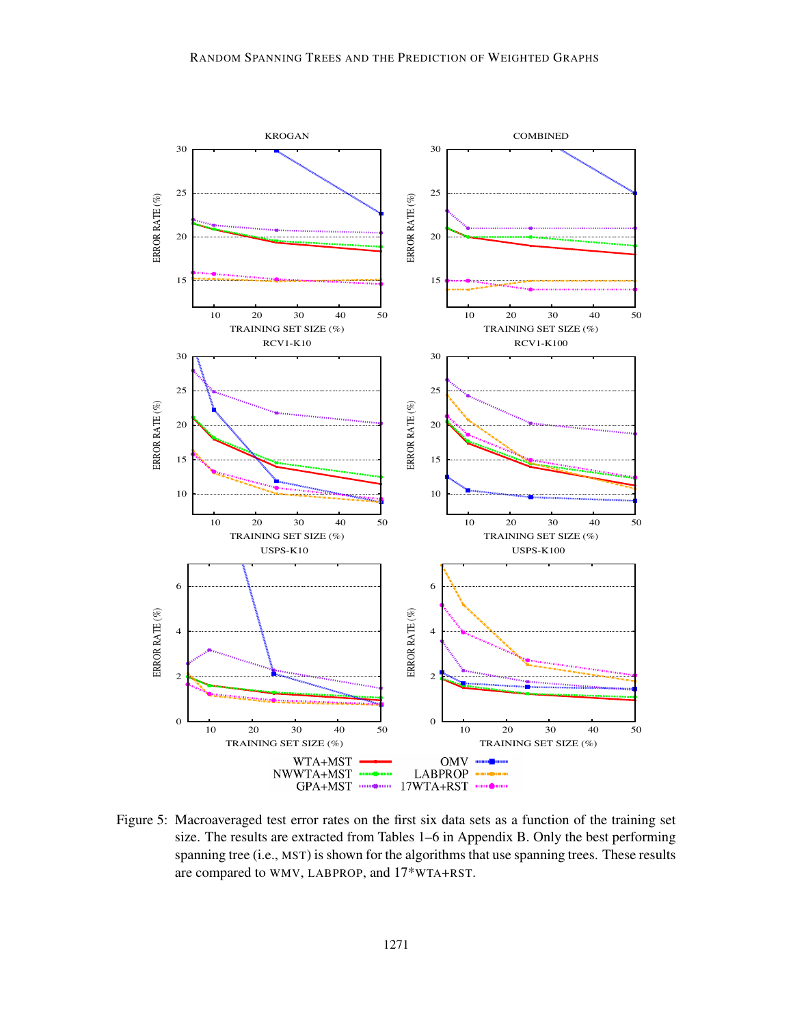

Figure 5: Macroaveraged test error rates on the first six data sets as a function of the training set size. The results are extracted from Tables 1–6 in Appendix B. Only the best performing spanning tree (i.e., MST) is shown for the algorithms that use spanning trees. These results are compared to WMV, LABPROP, and 17\*WTA+RST.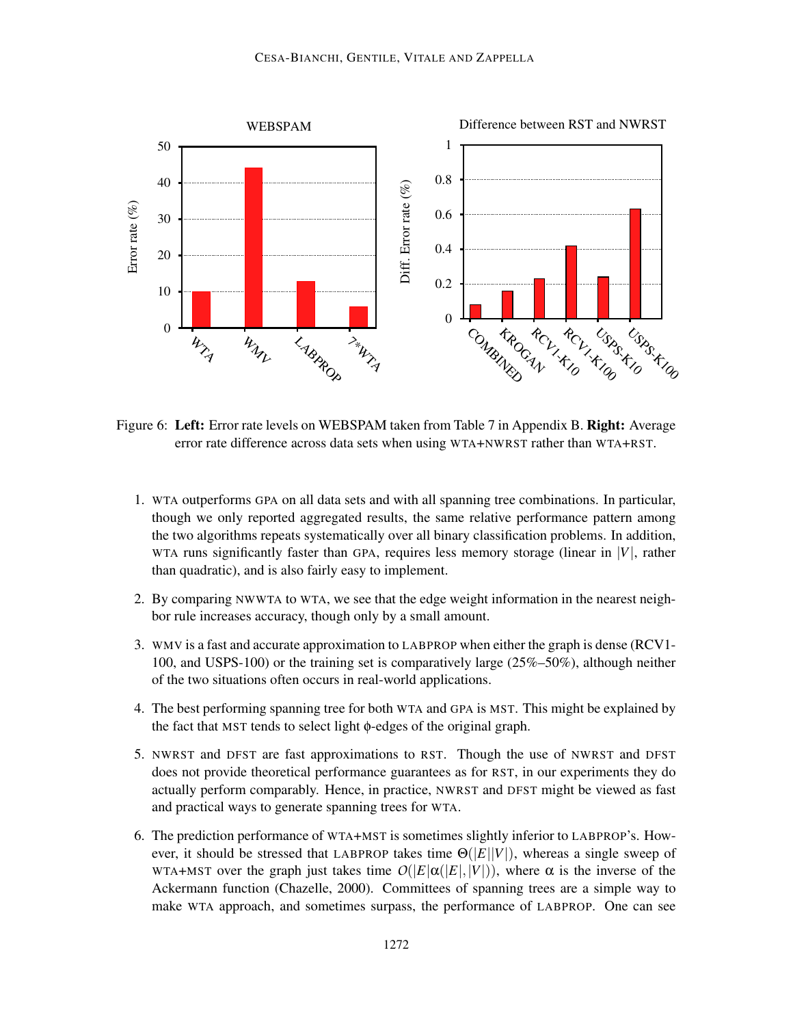

Figure 6: Left: Error rate levels on WEBSPAM taken from Table 7 in Appendix B. Right: Average error rate difference across data sets when using WTA+NWRST rather than WTA+RST.

- 1. WTA outperforms GPA on all data sets and with all spanning tree combinations. In particular, though we only reported aggregated results, the same relative performance pattern among the two algorithms repeats systematically over all binary classification problems. In addition, WTA runs significantly faster than GPA, requires less memory storage (linear in |*V*|, rather than quadratic), and is also fairly easy to implement.
- 2. By comparing NWWTA to WTA, we see that the edge weight information in the nearest neighbor rule increases accuracy, though only by a small amount.
- 3. WMV is a fast and accurate approximation to LABPROP when either the graph is dense (RCV1- 100, and USPS-100) or the training set is comparatively large (25%–50%), although neither of the two situations often occurs in real-world applications.
- 4. The best performing spanning tree for both WTA and GPA is MST. This might be explained by the fact that MST tends to select light φ-edges of the original graph.
- 5. NWRST and DFST are fast approximations to RST. Though the use of NWRST and DFST does not provide theoretical performance guarantees as for RST, in our experiments they do actually perform comparably. Hence, in practice, NWRST and DFST might be viewed as fast and practical ways to generate spanning trees for WTA.
- 6. The prediction performance of WTA+MST is sometimes slightly inferior to LABPROP's. However, it should be stressed that LABPROP takes time Θ(|*E*||*V*|), whereas a single sweep of WTA+MST over the graph just takes time  $O(|E|\alpha(|E|,|V|))$ , where  $\alpha$  is the inverse of the Ackermann function (Chazelle, 2000). Committees of spanning trees are a simple way to make WTA approach, and sometimes surpass, the performance of LABPROP. One can see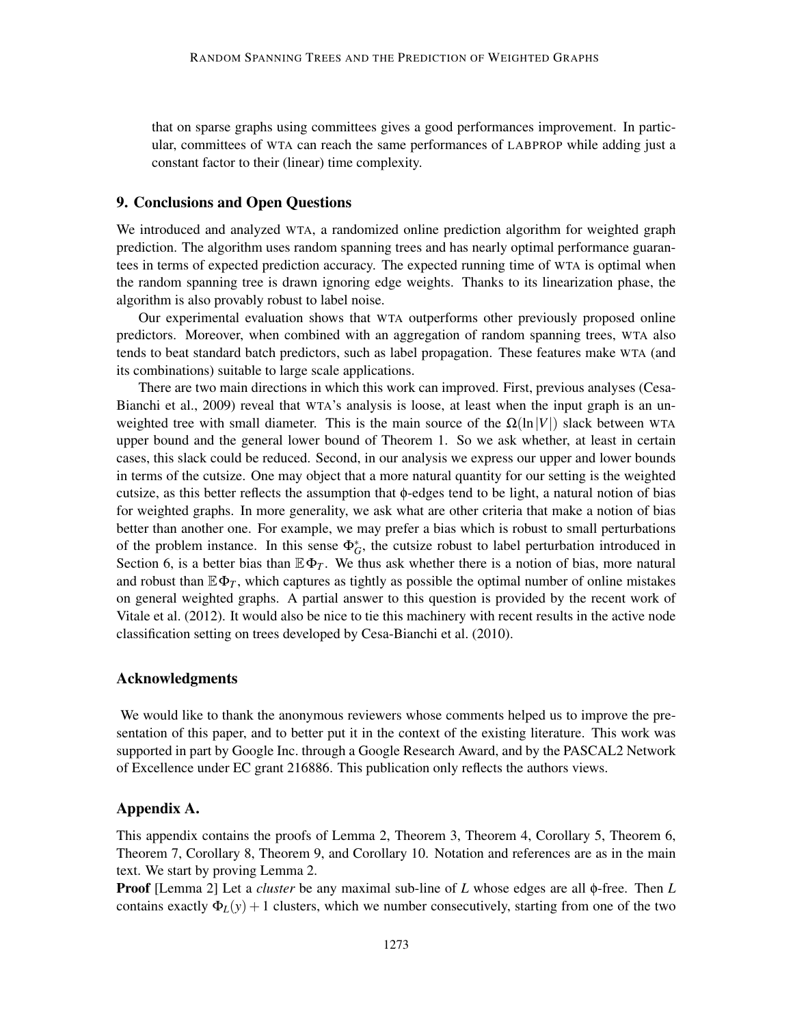that on sparse graphs using committees gives a good performances improvement. In particular, committees of WTA can reach the same performances of LABPROP while adding just a constant factor to their (linear) time complexity.

## 9. Conclusions and Open Questions

We introduced and analyzed WTA, a randomized online prediction algorithm for weighted graph prediction. The algorithm uses random spanning trees and has nearly optimal performance guarantees in terms of expected prediction accuracy. The expected running time of WTA is optimal when the random spanning tree is drawn ignoring edge weights. Thanks to its linearization phase, the algorithm is also provably robust to label noise.

Our experimental evaluation shows that WTA outperforms other previously proposed online predictors. Moreover, when combined with an aggregation of random spanning trees, WTA also tends to beat standard batch predictors, such as label propagation. These features make WTA (and its combinations) suitable to large scale applications.

There are two main directions in which this work can improved. First, previous analyses (Cesa-Bianchi et al., 2009) reveal that WTA's analysis is loose, at least when the input graph is an unweighted tree with small diameter. This is the main source of the  $\Omega(\ln|V|)$  slack between WTA upper bound and the general lower bound of Theorem 1. So we ask whether, at least in certain cases, this slack could be reduced. Second, in our analysis we express our upper and lower bounds in terms of the cutsize. One may object that a more natural quantity for our setting is the weighted cutsize, as this better reflects the assumption that φ-edges tend to be light, a natural notion of bias for weighted graphs. In more generality, we ask what are other criteria that make a notion of bias better than another one. For example, we may prefer a bias which is robust to small perturbations of the problem instance. In this sense  $\Phi_G^*$ , the cutsize robust to label perturbation introduced in Section 6, is a better bias than  $\mathbb{E}\Phi_T$ . We thus ask whether there is a notion of bias, more natural and robust than  $\mathbb{E}\Phi_T$ , which captures as tightly as possible the optimal number of online mistakes on general weighted graphs. A partial answer to this question is provided by the recent work of Vitale et al. (2012). It would also be nice to tie this machinery with recent results in the active node classification setting on trees developed by Cesa-Bianchi et al. (2010).

### Acknowledgments

We would like to thank the anonymous reviewers whose comments helped us to improve the presentation of this paper, and to better put it in the context of the existing literature. This work was supported in part by Google Inc. through a Google Research Award, and by the PASCAL2 Network of Excellence under EC grant 216886. This publication only reflects the authors views.

## Appendix A.

This appendix contains the proofs of Lemma 2, Theorem 3, Theorem 4, Corollary 5, Theorem 6, Theorem 7, Corollary 8, Theorem 9, and Corollary 10. Notation and references are as in the main text. We start by proving Lemma 2.

Proof [Lemma 2] Let a *cluster* be any maximal sub-line of *L* whose edges are all φ-free. Then *L* contains exactly  $\Phi_L(y) + 1$  clusters, which we number consecutively, starting from one of the two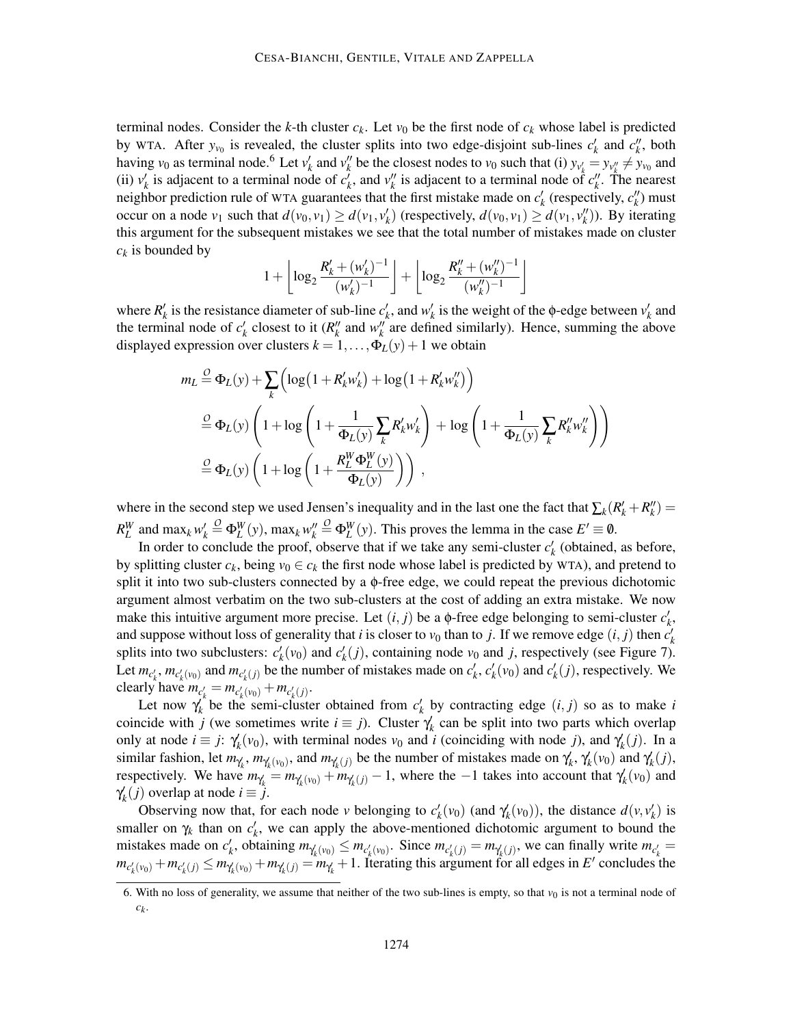terminal nodes. Consider the *k*-th cluster  $c_k$ . Let  $v_0$  be the first node of  $c_k$  whose label is predicted by WTA. After  $y_{v_0}$  is revealed, the cluster splits into two edge-disjoint sub-lines  $c'_k$  and  $c''_k$ , both having  $v_0$  as terminal node.<sup>6</sup> Let  $v'_k$  and  $v''_k$  be the closest nodes to  $v_0$  such that (i)  $y_{v'_k} = y_{v''_k} \neq y_{v_0}$  and (ii)  $v'_k$  is adjacent to a terminal node of  $c'_k$ , and  $v''_k$  is adjacent to a terminal node of  $c''_k$ . The nearest neighbor prediction rule of WTA guarantees that the first mistake made on  $c'_{k}$  (respectively,  $c''_{k}$ ) must occur on a node  $v_1$  such that  $d(v_0, v_1) \ge d(v_1, v'_k)$  (respectively,  $d(v_0, v_1) \ge d(v_1, v''_k)$ ). By iterating this argument for the subsequent mistakes we see that the total number of mistakes made on cluster *c<sup>k</sup>* is bounded by

$$
1 + \left\lfloor \log_2 \frac{R'_k + (w'_k)^{-1}}{(w'_k)^{-1}} \right\rfloor + \left\lfloor \log_2 \frac{R''_k + (w''_k)^{-1}}{(w''_k)^{-1}} \right\rfloor
$$

where  $R'_k$  is the resistance diameter of sub-line  $c'_k$ , and  $w'_k$  is the weight of the  $\phi$ -edge between  $v'_k$  and the terminal node of  $c'_{k}$  closest to it ( $R''_{k}$  and  $w''_{k}$  are defined similarly). Hence, summing the above displayed expression over clusters  $k = 1, ..., \Phi_L(y) + 1$  we obtain

$$
m_L \stackrel{O}{=} \Phi_L(y) + \sum_k \left( \log \left( 1 + R'_k w'_k \right) + \log \left( 1 + R'_k w''_k \right) \right)
$$
  

$$
\stackrel{O}{=} \Phi_L(y) \left( 1 + \log \left( 1 + \frac{1}{\Phi_L(y)} \sum_k R'_k w'_k \right) + \log \left( 1 + \frac{1}{\Phi_L(y)} \sum_k R''_k w''_k \right) \right)
$$
  

$$
\stackrel{O}{=} \Phi_L(y) \left( 1 + \log \left( 1 + \frac{R_L^W \Phi_L^W(y)}{\Phi_L(y)} \right) \right),
$$

where in the second step we used Jensen's inequality and in the last one the fact that  $\sum_k (R'_k + R''_k) =$  $R_L^W$  and max<sub>k</sub>  $w'_k \stackrel{O}{=} \Phi_L^W(y)$ , max<sub>k</sub>  $w''_k \stackrel{O}{=} \Phi_L^W(y)$ . This proves the lemma in the case  $E' \equiv \emptyset$ .

In order to conclude the proof, observe that if we take any semi-cluster  $c'_{k}$  (obtained, as before, by splitting cluster  $c_k$ , being  $v_0 \in c_k$  the first node whose label is predicted by WTA), and pretend to split it into two sub-clusters connected by a  $\phi$ -free edge, we could repeat the previous dichotomic argument almost verbatim on the two sub-clusters at the cost of adding an extra mistake. We now make this intuitive argument more precise. Let  $(i, j)$  be a  $\phi$ -free edge belonging to semi-cluster  $c'_{k}$ , and suppose without loss of generality that *i* is closer to  $v_0$  than to *j*. If we remove edge  $(i, j)$  then  $c'_k$ splits into two subclusters:  $c'_{k}(v_0)$  and  $c'_{k}(j)$ , containing node  $v_0$  and *j*, respectively (see Figure 7). Let  $m_{c'_k}$ ,  $m_{c'_k(v_0)}$  and  $m_{c'_k(j)}$  be the number of mistakes made on  $c'_k$ ,  $c'_k(v_0)$  and  $c'_k(j)$ , respectively. We clearly have  $m_{c'_k} = m_{c'_k(v_0)} + m_{c'_k(j)}$ .

Let now  $\gamma_k'$  be the semi-cluster obtained from  $c'_k$  by contracting edge  $(i, j)$  so as to make *i* coincide with *j* (we sometimes write  $i \equiv j$ ). Cluster  $\gamma_k$  can be split into two parts which overlap only at node  $i \equiv j$ :  $\gamma'_k(v_0)$ , with terminal nodes  $v_0$  and *i* (coinciding with node *j*), and  $\gamma'_k(j)$ . In a similar fashion, let  $m_{\gamma_k}$ ,  $m_{\gamma_k(v_0)}$ , and  $m_{\gamma_k(j)}$  be the number of mistakes made on  $\gamma_k'$ ,  $\gamma_k'(v_0)$  and  $\gamma_k'(j)$ , *respectively.* We have  $m_{\gamma_k'} = m_{\gamma_k'(v_0)} + m_{\gamma_k'(j)} - 1$ , where the  $-1$  takes into account that  $\gamma_k'(v_0)$  and  $\gamma'_k(j)$  overlap at node  $i \equiv j$ .

Observing now that, for each node *v* belonging to  $c'_{k}(v_0)$  (and  $\gamma'_{k}(v_0)$ ), the distance  $d(v, v'_{k})$  is smaller on  $\gamma_k$  than on  $c'_k$ , we can apply the above-mentioned dichotomic argument to bound the mistakes made on  $c'_k$ , obtaining  $m_{\gamma'_k(v_0)} \leq m_{c'_k(v_0)}$ . Since  $m_{c'_k(j)} = m_{\gamma'_k(j)}$ , we can finally write  $m_{c'_k} =$  $m_{c'_k(v_0)} + m_{c'_k(j)} \le m_{\gamma'_k(v_0)} + m_{\gamma'_k(j)} = m_{\gamma'_k} + 1$ . Iterating this argument for all edges in E' concludes the

<sup>6.</sup> With no loss of generality, we assume that neither of the two sub-lines is empty, so that  $v_0$  is not a terminal node of *ck* .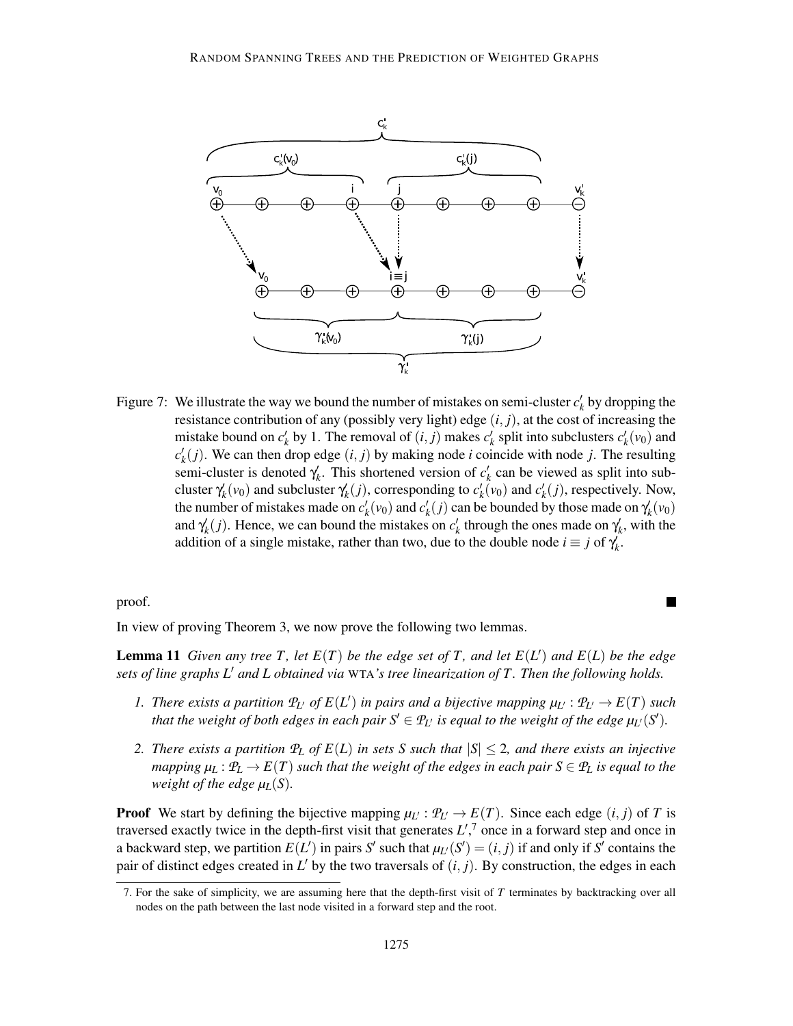

Figure 7: We illustrate the way we bound the number of mistakes on semi-cluster  $c'_{k}$  by dropping the resistance contribution of any (possibly very light) edge  $(i, j)$ , at the cost of increasing the mistake bound on  $c'_k$  by 1. The removal of  $(i, j)$  makes  $c'_k$  split into subclusters  $c'_k(v_0)$  and  $c'_{k}(j)$ . We can then drop edge  $(i, j)$  by making node *i* coincide with node *j*. The resulting semi-cluster is denoted  $\gamma_k$ . This shortened version of  $c'_k$  can be viewed as split into subcluster  $\gamma_k'(v_0)$  and subcluster  $\gamma_k'(j)$ , corresponding to  $c'_k(v_0)$  and  $c'_k(j)$ , respectively. Now, the number of mistakes made on  $c'_k(v_0)$  and  $c'_k(j)$  can be bounded by those made on  $\gamma'_k(v_0)$ and  $\gamma'_k(j)$ . Hence, we can bound the mistakes on  $c'_k$  through the ones made on  $\gamma'_k$ , with the addition of a single mistake, rather than two, due to the double node  $i \equiv j$  of  $\gamma_k'$ .

proof.

In view of proving Theorem 3, we now prove the following two lemmas.

**Lemma 11** *Given any tree T, let*  $E(T)$  *be the edge set of T, and let*  $E(L')$  *and*  $E(L)$  *be the edge sets of line graphs L*′ *and L obtained via* WTA*'s tree linearization of T . Then the following holds.*

- *1.* There exists a partition  $P_L$  of  $E(L')$  in pairs and a bijective mapping  $\mu_{L'} : P_{L'} \to E(T)$  such *that the weight of both edges in each pair*  $S' \in \mathcal{P}_{L'}$  *is equal to the weight of the edge*  $\mu_{L'}(S')$ *.*
- *2. There exists a partition*  $P_L$  *of*  $E(L)$  *in sets S such that*  $|S| \leq 2$ *, and there exists an injective mapping*  $\mu_L$ :  $\mathcal{P}_L \to E(T)$  *such that the weight of the edges in each pair*  $S \in \mathcal{P}_L$  *is equal to the weight of the edge*  $\mu$ <sup>*L*</sup>(*S*)*.*

**Proof** We start by defining the bijective mapping  $\mu_L$ :  $\mathcal{P}_L \to E(T)$ . Since each edge  $(i, j)$  of *T* is traversed exactly twice in the depth-first visit that generates  $L^{\prime}$ ,<sup>7</sup> once in a forward step and once in a backward step, we partition  $E(L')$  in pairs  $S'$  such that  $\mu_{L'}(S') = (i, j)$  if and only if  $S'$  contains the pair of distinct edges created in  $L'$  by the two traversals of  $(i, j)$ . By construction, the edges in each

<sup>7.</sup> For the sake of simplicity, we are assuming here that the depth-first visit of *T* terminates by backtracking over all nodes on the path between the last node visited in a forward step and the root.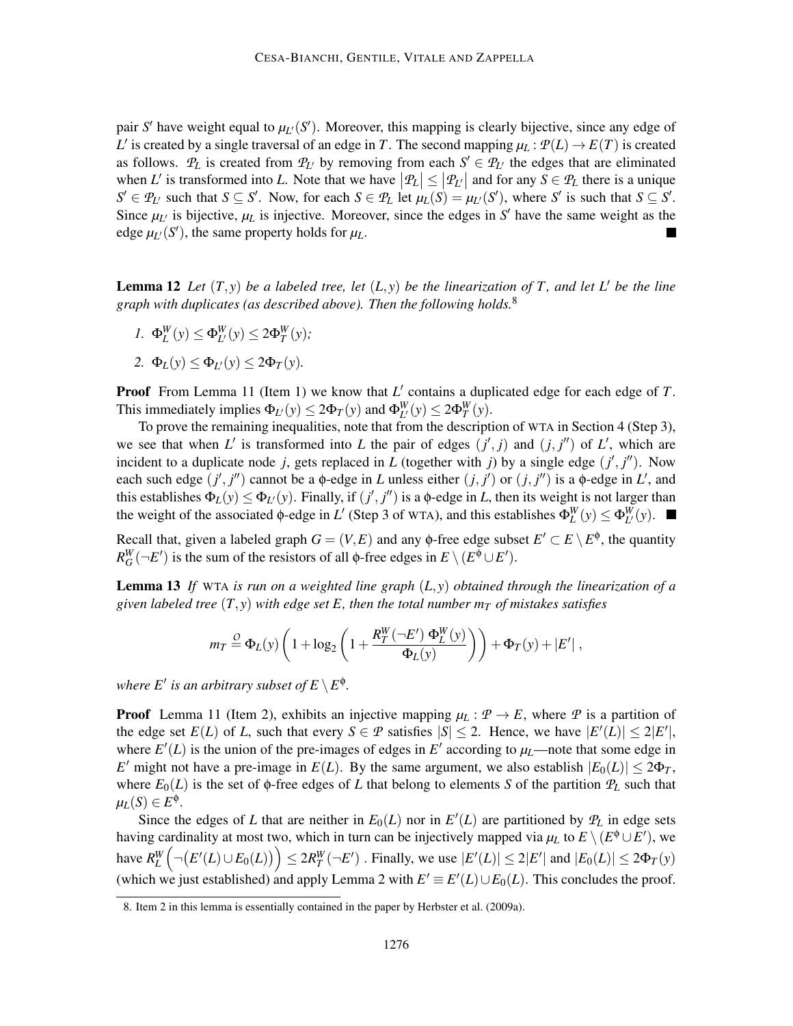pair *S'* have weight equal to  $\mu$ <sup>*L*</sup>(*S'*). Moreover, this mapping is clearly bijective, since any edge of *L*' is created by a single traversal of an edge in *T*. The second mapping  $\mu_L$  :  $P(L) \rightarrow E(T)$  is created as follows.  $P_L$  is created from  $P_{L'}$  by removing from each  $S' \in P_{L'}$  the edges that are eliminated when L' is transformed into L. Note that we have  $|P_L| \le |P_{L'}|$  and for any  $S \in P_L$  there is a unique  $S' \in \mathcal{P}_{L'}$  such that  $S \subseteq S'$ . Now, for each  $S \in \mathcal{P}_L$  let  $\mu_L(S) = \mu_{L'}(S')$ , where S' is such that  $S \subseteq S'$ . Since  $\mu$ <sup>*L*</sup> is bijective,  $\mu$ <sub>*L*</sub> is injective. Moreover, since the edges in *S'* have the same weight as the edge  $\mu$ <sup>*L*</sup> $(S')$ , the same property holds for  $\mu$ *L*.

**Lemma 12** Let  $(T, y)$  be a labeled tree, let  $(L, y)$  be the linearization of T, and let L' be the line *graph with duplicates (as described above). Then the following holds.*<sup>8</sup>

- *I.*  $\Phi_L^W(y) \le \Phi_{L'}^W(y) \le 2\Phi_T^W(y);$
- 2.  $\Phi_L(y) \leq \Phi_{L'}(y) \leq 2\Phi_T(y)$ .

**Proof** From Lemma 11 (Item 1) we know that L' contains a duplicated edge for each edge of T. This immediately implies  $\Phi_{L'}(y) \leq 2\Phi_T(y)$  and  $\Phi_{L'}^W(y) \leq 2\Phi_T^W(y)$ .

To prove the remaining inequalities, note that from the description of WTA in Section 4 (Step 3), we see that when L' is transformed into L the pair of edges  $(j', j)$  and  $(j, j'')$  of L', which are incident to a duplicate node *j*, gets replaced in *L* (together with *j*) by a single edge  $(j', j'')$ . Now each such edge  $(j', j'')$  cannot be a  $\phi$ -edge in *L* unless either  $(j, j')$  or  $(j, j'')$  is a  $\phi$ -edge in *L'*, and this establishes  $\Phi_L(y) \le \Phi_{L'}(y)$ . Finally, if  $(j', j'')$  is a  $\phi$ -edge in *L*, then its weight is not larger than the weight of the associated  $\phi$ -edge in *L'* (Step 3 of WTA), and this establishes  $\Phi_L^W(y) \le \Phi_{L'}^W(y)$ .

Recall that, given a labeled graph  $G = (V, E)$  and any  $\phi$ -free edge subset  $E' \subset E \setminus E^{\phi}$ , the quantity  $R_G^W(\neg E')$  is the sum of the resistors of all  $\phi$ -free edges in  $E \setminus (E^{\phi} \cup E')$ .

Lemma 13 *If* WTA *is run on a weighted line graph* (*L*, *y*) *obtained through the linearization of a given labeled tree*  $(T, y)$  *with edge set E, then the total number*  $m<sub>T</sub>$  *of mistakes satisfies* 

$$
m_T \stackrel{O}{=} \Phi_L(y) \left( 1 + \log_2 \left( 1 + \frac{R_T^W(-E') \Phi_L^W(y)}{\Phi_L(y)} \right) \right) + \Phi_T(y) + |E'|,
$$

where  $E'$  is an arbitrary subset of  $E \setminus E^{\phi}$ .

**Proof** Lemma 11 (Item 2), exhibits an injective mapping  $\mu_L : \mathcal{P} \to E$ , where  $\mathcal{P}$  is a partition of the edge set  $E(L)$  of *L*, such that every  $S \in \mathcal{P}$  satisfies  $|S| \leq 2$ . Hence, we have  $|E'(L)| \leq 2|E'|$ , where  $E'(L)$  is the union of the pre-images of edges in  $E'$  according to  $\mu_L$ —note that some edge in *E*<sup> $\prime$ </sup> might not have a pre-image in *E*(*L*). By the same argument, we also establish  $|E_0(L)| \leq 2\Phi_T$ , where  $E_0(L)$  is the set of  $\phi$ -free edges of *L* that belong to elements *S* of the partition  $P_L$  such that  $\mu_L(S) \in E^{\Phi}$ .

Since the edges of *L* that are neither in  $E_0(L)$  nor in  $E'(L)$  are partitioned by  $\mathcal{P}_L$  in edge sets having cardinality at most two, which in turn can be injectively mapped via  $\mu_L$  to  $E \setminus (E^{\phi} \cup E')$ , we have  $R_L^W$  $\sqrt{2}$  $\neg(E'(L) \cup E_0(L))$   $\leq 2R_T^W(\neg E')$  . Finally, we use  $|E'(L)| \leq 2|E'|$  and  $|E_0(L)| \leq 2\Phi_T(y)$ (which we just established) and apply Lemma 2 with  $E' \equiv E'(L) \cup E_0(L)$ . This concludes the proof.

<sup>8.</sup> Item 2 in this lemma is essentially contained in the paper by Herbster et al. (2009a).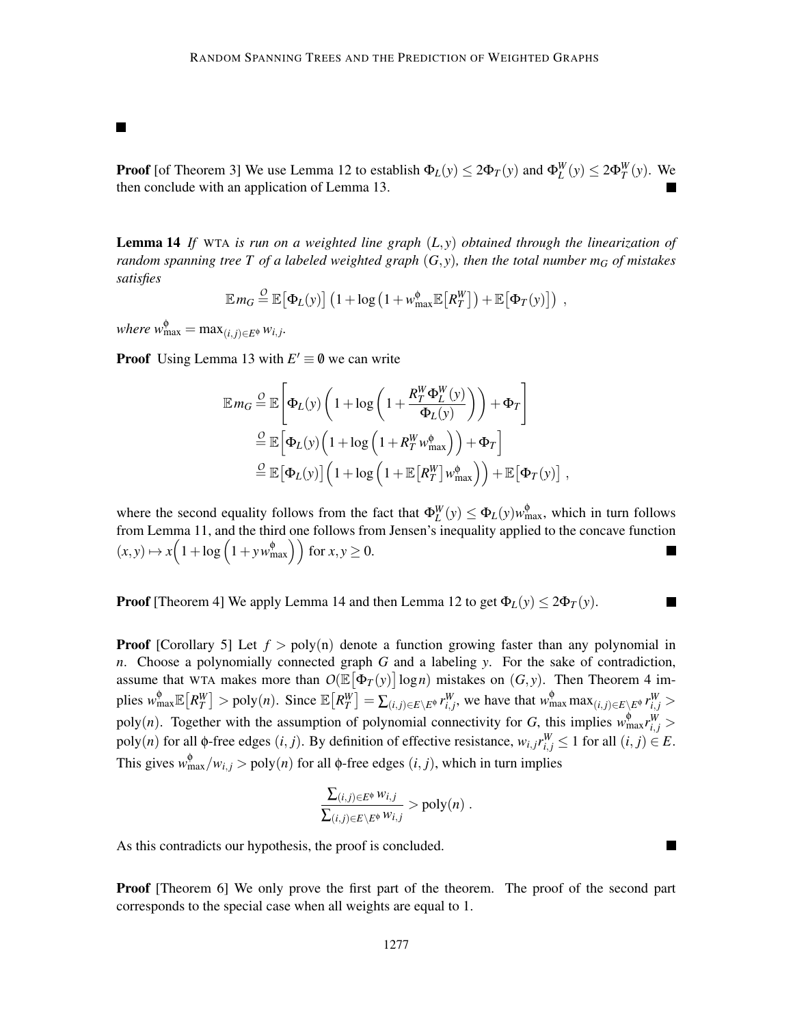**Proof** [of Theorem 3] We use Lemma 12 to establish  $\Phi_L(y) \leq 2\Phi_T(y)$  and  $\Phi_L^W(y) \leq 2\Phi_T^W(y)$ . We then conclude with an application of Lemma 13.

Lemma 14 *If* WTA *is run on a weighted line graph* (*L*, *y*) *obtained through the linearization of random spanning tree T of a labeled weighted graph* (*G*, *y*)*, then the total number m<sup>G</sup> of mistakes satisfies*

$$
\mathbb{E} m_G \stackrel{O}{=} \mathbb{E} [\Phi_L(y)] \left( 1 + \log \left( 1 + w_{\text{max}}^{\phi} \mathbb{E} [R_T^W] \right) + \mathbb{E} [\Phi_T(y)] \right) ,
$$

 $where w_{\text{max}}^{\phi} = \max_{(i,j)\in E^{\phi}} w_{i,j}.$ 

Ш

**Proof** Using Lemma 13 with  $E' \equiv \emptyset$  we can write

$$
\mathbb{E} m_G \stackrel{\mathcal{Q}}{=} \mathbb{E} \Bigg[ \Phi_L(y) \left( 1 + \log \left( 1 + \frac{R_T^W \Phi_L^W(y)}{\Phi_L(y)} \right) \right) + \Phi_T \Bigg]
$$
  

$$
\stackrel{\mathcal{Q}}{=} \mathbb{E} \Big[ \Phi_L(y) \left( 1 + \log \left( 1 + R_T^W w_{\text{max}}^{\phi} \right) \right) + \Phi_T \Bigg]
$$
  

$$
\stackrel{\mathcal{Q}}{=} \mathbb{E} \Big[ \Phi_L(y) \Big] \left( 1 + \log \left( 1 + \mathbb{E} \big[ R_T^W \big] w_{\text{max}}^{\phi} \right) \right) + \mathbb{E} \Big[ \Phi_T(y) \Big] ,
$$

where the second equality follows from the fact that  $\Phi_L^W(y) \leq \Phi_L(y) w_{\text{max}}^{\phi}$ , which in turn follows from Lemma 11, and the third one follows from Jensen's inequality applied to the concave function  $(x, y) \mapsto x \left( 1 + \log \left( 1 + yw_{\text{max}}^{\phi} \right) \right) \text{ for } x, y \ge 0.$  $\overline{\phantom{a}}$ 

**Proof** [Theorem 4] We apply Lemma 14 and then Lemma 12 to get  $\Phi_L(y) \leq 2\Phi_T(y)$ .

**Proof** [Corollary 5] Let  $f > poly(n)$  denote a function growing faster than any polynomial in *n*. Choose a polynomially connected graph *G* and a labeling *y*. For the sake of contradiction, assume that WTA makes more than  $O(\mathbb{E}[\Phi_T(y)] \log n)$  mistakes on  $(G, y)$ . Then Theorem 4 implies  $w_{\max}^{\phi} \mathbb{E}\left[R_T^W\right] > \text{poly}(n)$ . Since  $\mathbb{E}\left[R_T^W\right] = \sum_{(i,j) \in E \setminus E^{\phi}} r_{i,j}^W$ , we have that  $w_{\max}^{\phi} \max_{(i,j) \in E \setminus E^{\phi}} r_{i,j}^W >$ poly(*n*). Together with the assumption of polynomial connectivity for *G*, this implies  $w_{\text{max}}^{\phi} r_{i,j}^W$  > poly(*n*) for all  $\phi$ -free edges (*i*, *j*). By definition of effective resistance,  $w_{i,j}r_{i,j}^W \le 1$  for all (*i*, *j*)  $\in E$ . This gives  $w_{\text{max}}^{\phi}/w_{i,j} > \text{poly}(n)$  for all  $\phi$ -free edges  $(i, j)$ , which in turn implies

$$
\frac{\sum_{(i,j)\in E^{\phi}}w_{i,j}}{\sum_{(i,j)\in E\setminus E^{\phi}}w_{i,j}} > \text{poly}(n) .
$$

 $\blacksquare$ 

As this contradicts our hypothesis, the proof is concluded.

Proof [Theorem 6] We only prove the first part of the theorem. The proof of the second part corresponds to the special case when all weights are equal to 1.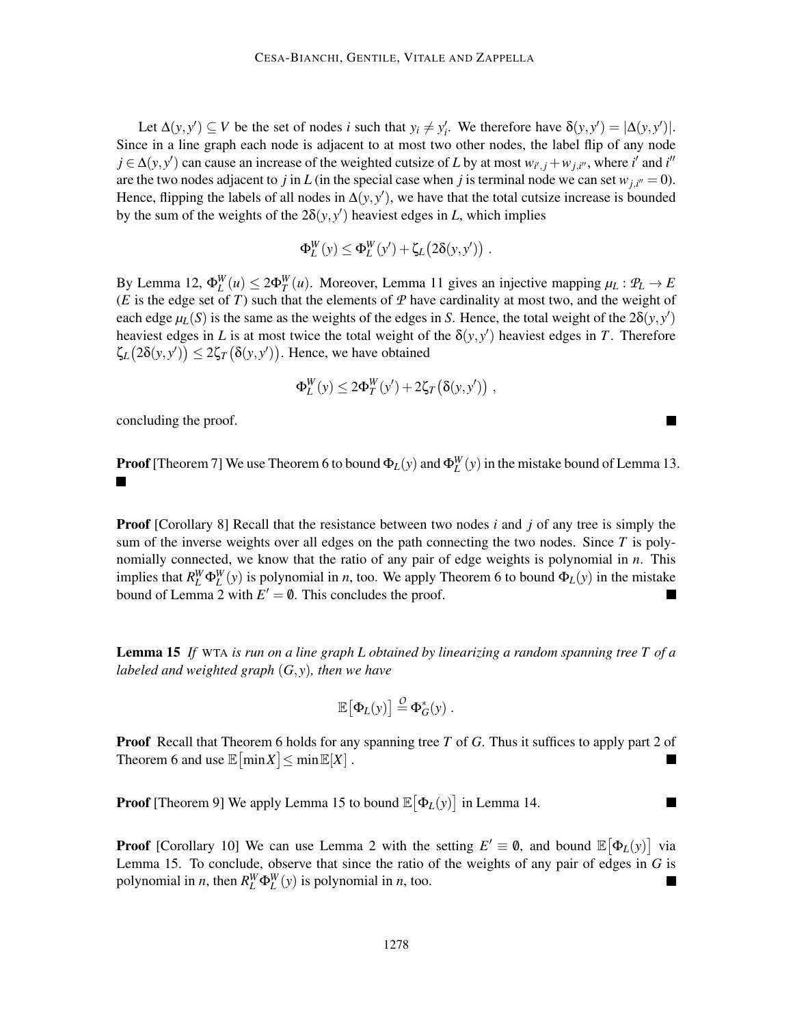Let  $\Delta(y, y') \subseteq V$  be the set of nodes *i* such that  $y_i \neq y'_i$ . We therefore have  $\delta(y, y') = |\Delta(y, y')|$ . Since in a line graph each node is adjacent to at most two other nodes, the label flip of any node  $j \in \Delta(y, y')$  can cause an increase of the weighted cutsize of *L* by at most  $w_{i',j} + w_{j,i''}$ , where *i*<sup>'</sup> and *i*<sup>''</sup> are the two nodes adjacent to *j* in *L* (in the special case when *j* is terminal node we can set  $w_{j,i''} = 0$ ). Hence, flipping the labels of all nodes in  $\Delta(y, y')$ , we have that the total cutsize increase is bounded by the sum of the weights of the  $2\delta(y, y')$  heaviest edges in *L*, which implies

$$
\Phi_L^W(y) \le \Phi_L^W(y') + \zeta_L(2\delta(y,y')) \; .
$$

By Lemma 12,  $\Phi_L^W(u) \leq 2\Phi_T^W(u)$ . Moreover, Lemma 11 gives an injective mapping  $\mu_L: \mathcal{P}_L \to E$ (*E* is the edge set of *T*) such that the elements of  $\mathcal P$  have cardinality at most two, and the weight of each edge  $\mu_L(S)$  is the same as the weights of the edges in *S*. Hence, the total weight of the  $2\delta(y, y')$ heaviest edges in *L* is at most twice the total weight of the  $\delta(y, y')$  heaviest edges in *T*. Therefore  $\zeta_L(2\delta(y, y')) \leq 2\zeta_T(\delta(y, y'))$ . Hence, we have obtained

$$
\Phi_L^W(y) \le 2\Phi_T^W(y') + 2\zeta_T(\delta(y,y')) ,
$$

concluding the proof.

**Proof** [Theorem 7] We use Theorem 6 to bound  $\Phi_L(y)$  and  $\Phi_L^W(y)$  in the mistake bound of Lemma 13.

Proof [Corollary 8] Recall that the resistance between two nodes *i* and *j* of any tree is simply the sum of the inverse weights over all edges on the path connecting the two nodes. Since *T* is polynomially connected, we know that the ratio of any pair of edge weights is polynomial in *n*. This implies that  $R_L^W \Phi_L^W(y)$  is polynomial in *n*, too. We apply Theorem 6 to bound  $\Phi_L(y)$  in the mistake bound of Lemma 2 with  $E' = \emptyset$ . This concludes the proof.

Lemma 15 *If* WTA *is run on a line graph L obtained by linearizing a random spanning tree T of a labeled and weighted graph* (*G*, *y*)*, then we have*

$$
\mathbb{E}\big[\Phi_L(y)\big] \stackrel{O}{=} \Phi_G^*(y) \; .
$$

Proof Recall that Theorem 6 holds for any spanning tree *T* of *G*. Thus it suffices to apply part 2 of Theorem 6 and use  $\mathbb{E}[\min X] \leq \min \mathbb{E}[X]$ . ▅

 $\blacksquare$ 

**Proof** [Theorem 9] We apply Lemma 15 to bound  $\mathbb{E}[\Phi_L(y)]$  in Lemma 14.

**Proof** [Corollary 10] We can use Lemma 2 with the setting  $E' \equiv \emptyset$ , and bound  $\mathbb{E}[\Phi_L(y)]$  via Lemma 15. To conclude, observe that since the ratio of the weights of any pair of edges in  $G$  is polynomial in *n*, then  $R_L^W \Phi_L^W(y)$  is polynomial in *n*, too.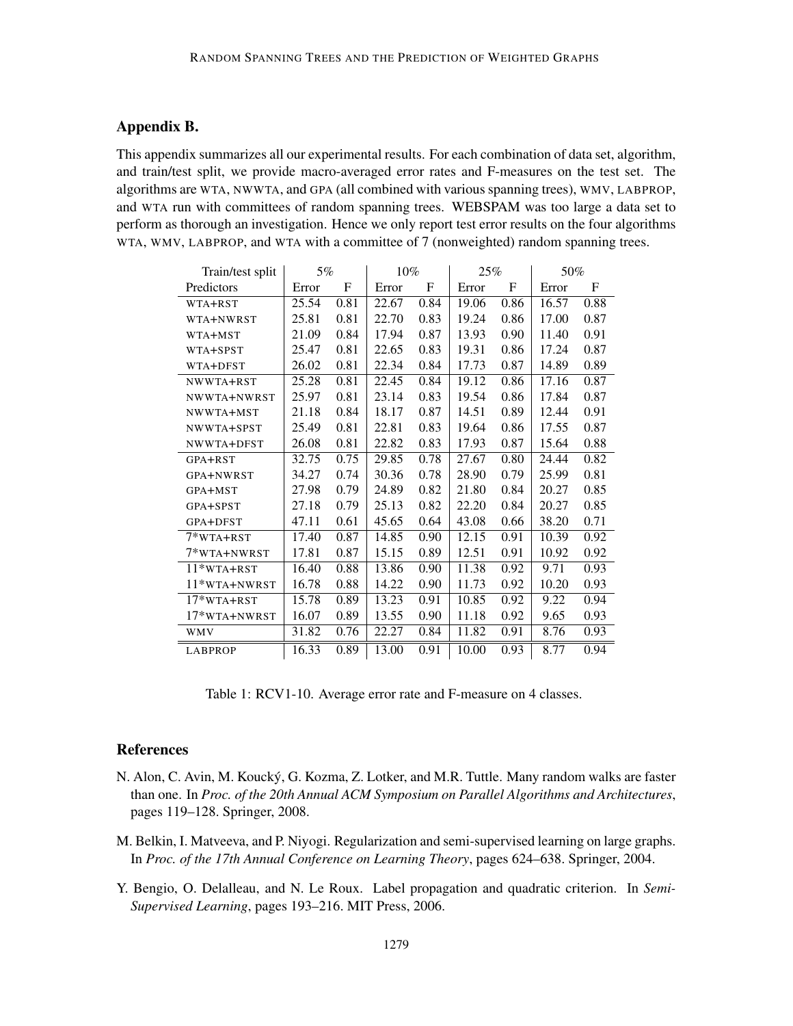## Appendix B.

This appendix summarizes all our experimental results. For each combination of data set, algorithm, and train/test split, we provide macro-averaged error rates and F-measures on the test set. The algorithms are WTA, NWWTA, and GPA (all combined with various spanning trees), WMV, LABPROP, and WTA run with committees of random spanning trees. WEBSPAM was too large a data set to perform as thorough an investigation. Hence we only report test error results on the four algorithms WTA, WMV, LABPROP, and WTA with a committee of 7 (nonweighted) random spanning trees.

| Train/test split | 5%    |             | 10%                |             | 25%   |             | 50%   |      |
|------------------|-------|-------------|--------------------|-------------|-------|-------------|-------|------|
| Predictors       | Error | $\mathbf F$ | Error              | $\mathbf F$ | Error | $\mathbf F$ | Error | F    |
| WTA+RST          | 25.54 | 0.81        | 22.67              | 0.84        | 19.06 | 0.86        | 16.57 | 0.88 |
| WTA+NWRST        | 25.81 | 0.81        | 22.70              | 0.83        | 19.24 | 0.86        | 17.00 | 0.87 |
| WTA+MST          | 21.09 | 0.84        | 17.94              | 0.87        | 13.93 | 0.90        | 11.40 | 0.91 |
| WTA+SPST         | 25.47 | 0.81        | 22.65              | 0.83        | 19.31 | 0.86        | 17.24 | 0.87 |
| WTA+DFST         | 26.02 | 0.81        | 22.34              | 0.84        | 17.73 | 0.87        | 14.89 | 0.89 |
| NWWTA+RST        | 25.28 | 0.81        | 22.45              | 0.84        | 19.12 | 0.86        | 17.16 | 0.87 |
| NWWTA+NWRST      | 25.97 | 0.81        | 23.14              | 0.83        | 19.54 | 0.86        | 17.84 | 0.87 |
| NWWTA+MST        | 21.18 | 0.84        | 18.17              | 0.87        | 14.51 | 0.89        | 12.44 | 0.91 |
| NWWTA+SPST       | 25.49 | 0.81        | 22.81              | 0.83        | 19.64 | 0.86        | 17.55 | 0.87 |
| NWWTA+DFST       | 26.08 | 0.81        | 22.82              | 0.83        | 17.93 | 0.87        | 15.64 | 0.88 |
| GPA+RST          | 32.75 | 0.75        | 29.85              | 0.78        | 27.67 | 0.80        | 24.44 | 0.82 |
| GPA+NWRST        | 34.27 | 0.74        | 30.36              | 0.78        | 28.90 | 0.79        | 25.99 | 0.81 |
| GPA+MST          | 27.98 | 0.79        | 24.89              | 0.82        | 21.80 | 0.84        | 20.27 | 0.85 |
| GPA+SPST         | 27.18 | 0.79        | 25.13              | 0.82        | 22.20 | 0.84        | 20.27 | 0.85 |
| GPA+DFST         | 47.11 | 0.61        | 45.65              | 0.64        | 43.08 | 0.66        | 38.20 | 0.71 |
| $7*WTA+RST$      | 17.40 | 0.87        | 14.85              | 0.90        | 12.15 | 0.91        | 10.39 | 0.92 |
| 7*WTA+NWRST      | 17.81 | 0.87        | 15.15              | 0.89        | 12.51 | 0.91        | 10.92 | 0.92 |
| $11*$ WTA+RST    | 16.40 | 0.88        | 13.86              | 0.90        | 11.38 | 0.92        | 9.71  | 0.93 |
| $11*$ WTA+NWRST  | 16.78 | 0.88        | 14.22              | 0.90        | 11.73 | 0.92        | 10.20 | 0.93 |
| 17*WTA+RST       | 15.78 | 0.89        | $\overline{13.23}$ | 0.91        | 10.85 | 0.92        | 9.22  | 0.94 |
| $17*$ WTA+NWRST  | 16.07 | 0.89        | 13.55              | 0.90        | 11.18 | 0.92        | 9.65  | 0.93 |
| <b>WMV</b>       | 31.82 | 0.76        | 22.27              | 0.84        | 11.82 | 0.91        | 8.76  | 0.93 |
| <b>LABPROP</b>   | 16.33 | 0.89        | 13.00              | 0.91        | 10.00 | 0.93        | 8.77  | 0.94 |

Table 1: RCV1-10. Average error rate and F-measure on 4 classes.

## References

- N. Alon, C. Avin, M. Koucky, G. Kozma, Z. Lotker, and M.R. Tuttle. Many random walks are faster ´ than one. In *Proc. of the 20th Annual ACM Symposium on Parallel Algorithms and Architectures*, pages 119–128. Springer, 2008.
- M. Belkin, I. Matveeva, and P. Niyogi. Regularization and semi-supervised learning on large graphs. In *Proc. of the 17th Annual Conference on Learning Theory*, pages 624–638. Springer, 2004.
- Y. Bengio, O. Delalleau, and N. Le Roux. Label propagation and quadratic criterion. In *Semi-Supervised Learning*, pages 193–216. MIT Press, 2006.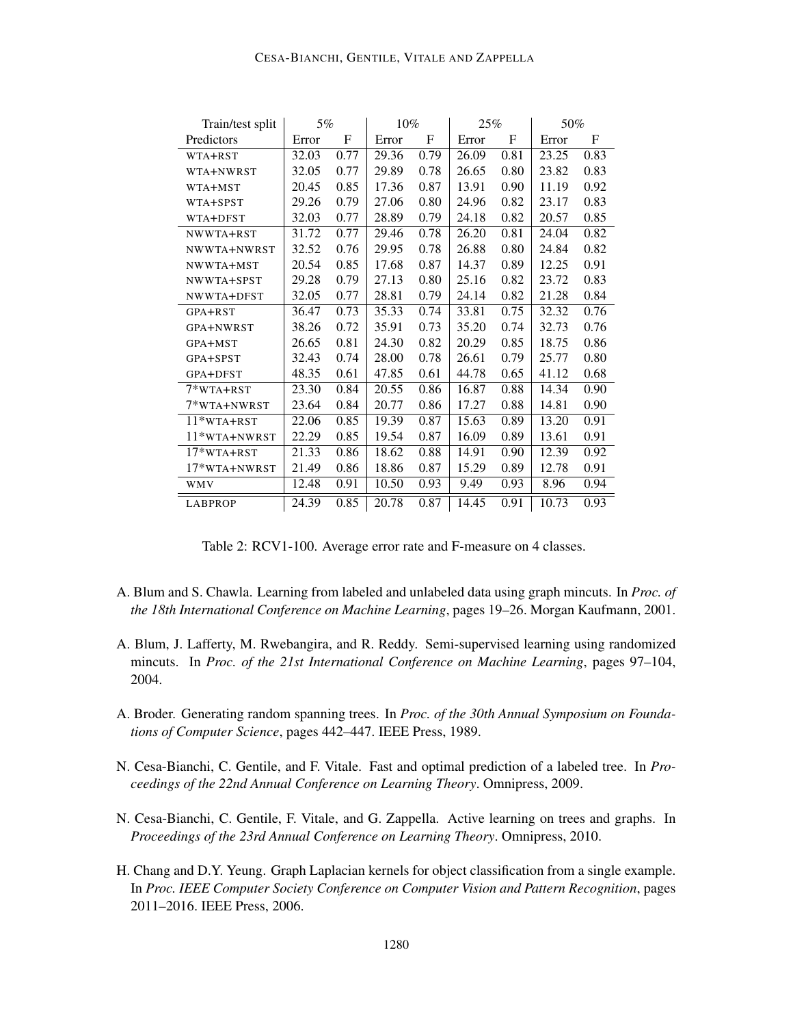### CESA-BIANCHI, GENTILE, VITALE AND ZAPPELLA

| Train/test split  | 5%    |             | 10%   |             | 25%   |             | 50%   |      |
|-------------------|-------|-------------|-------|-------------|-------|-------------|-------|------|
| Predictors        | Error | $\mathbf F$ | Error | $\mathbf F$ | Error | $\mathbf F$ | Error | F    |
| WTA+RST           | 32.03 | 0.77        | 29.36 | 0.79        | 26.09 | 0.81        | 23.25 | 0.83 |
| WTA+NWRST         | 32.05 | 0.77        | 29.89 | 0.78        | 26.65 | 0.80        | 23.82 | 0.83 |
| WTA+MST           | 20.45 | 0.85        | 17.36 | 0.87        | 13.91 | 0.90        | 11.19 | 0.92 |
| WTA+SPST          | 29.26 | 0.79        | 27.06 | 0.80        | 24.96 | 0.82        | 23.17 | 0.83 |
| WTA+DFST          | 32.03 | 0.77        | 28.89 | 0.79        | 24.18 | 0.82        | 20.57 | 0.85 |
| NWWTA+RST         | 31.72 | 0.77        | 29.46 | 0.78        | 26.20 | 0.81        | 24.04 | 0.82 |
| NWWTA+NWRST       | 32.52 | 0.76        | 29.95 | 0.78        | 26.88 | 0.80        | 24.84 | 0.82 |
| NWWTA+MST         | 20.54 | 0.85        | 17.68 | 0.87        | 14.37 | 0.89        | 12.25 | 0.91 |
| NWWTA+SPST        | 29.28 | 0.79        | 27.13 | 0.80        | 25.16 | 0.82        | 23.72 | 0.83 |
| NWWTA+DFST        | 32.05 | 0.77        | 28.81 | 0.79        | 24.14 | 0.82        | 21.28 | 0.84 |
| GPA+RST           | 36.47 | 0.73        | 35.33 | 0.74        | 33.81 | 0.75        | 32.32 | 0.76 |
| GPA+NWRST         | 38.26 | 0.72        | 35.91 | 0.73        | 35.20 | 0.74        | 32.73 | 0.76 |
| GPA+MST           | 26.65 | 0.81        | 24.30 | 0.82        | 20.29 | 0.85        | 18.75 | 0.86 |
| GPA+SPST          | 32.43 | 0.74        | 28.00 | 0.78        | 26.61 | 0.79        | 25.77 | 0.80 |
| GPA+DFST          | 48.35 | 0.61        | 47.85 | 0.61        | 44.78 | 0.65        | 41.12 | 0.68 |
| 7*WTA+RST         | 23.30 | 0.84        | 20.55 | 0.86        | 16.87 | 0.88        | 14.34 | 0.90 |
| 7*WTA+NWRST       | 23.64 | 0.84        | 20.77 | 0.86        | 17.27 | 0.88        | 14.81 | 0.90 |
| $11*WTA+RST$      | 22.06 | 0.85        | 19.39 | 0.87        | 15.63 | 0.89        | 13.20 | 0.91 |
| $11*$ wta + NWRST | 22.29 | 0.85        | 19.54 | 0.87        | 16.09 | 0.89        | 13.61 | 0.91 |
| $17*WTA+RST$      | 21.33 | 0.86        | 18.62 | 0.88        | 14.91 | 0.90        | 12.39 | 0.92 |
| 17*WTA+NWRST      | 21.49 | 0.86        | 18.86 | 0.87        | 15.29 | 0.89        | 12.78 | 0.91 |
| WMV               | 12.48 | 0.91        | 10.50 | 0.93        | 9.49  | 0.93        | 8.96  | 0.94 |
| <b>LABPROP</b>    | 24.39 | 0.85        | 20.78 | 0.87        | 14.45 | 0.91        | 10.73 | 0.93 |

Table 2: RCV1-100. Average error rate and F-measure on 4 classes.

- A. Blum and S. Chawla. Learning from labeled and unlabeled data using graph mincuts. In *Proc. of the 18th International Conference on Machine Learning*, pages 19–26. Morgan Kaufmann, 2001.
- A. Blum, J. Lafferty, M. Rwebangira, and R. Reddy. Semi-supervised learning using randomized mincuts. In *Proc. of the 21st International Conference on Machine Learning*, pages 97–104, 2004.
- A. Broder. Generating random spanning trees. In *Proc. of the 30th Annual Symposium on Foundations of Computer Science*, pages 442–447. IEEE Press, 1989.
- N. Cesa-Bianchi, C. Gentile, and F. Vitale. Fast and optimal prediction of a labeled tree. In *Proceedings of the 22nd Annual Conference on Learning Theory*. Omnipress, 2009.
- N. Cesa-Bianchi, C. Gentile, F. Vitale, and G. Zappella. Active learning on trees and graphs. In *Proceedings of the 23rd Annual Conference on Learning Theory*. Omnipress, 2010.
- H. Chang and D.Y. Yeung. Graph Laplacian kernels for object classification from a single example. In *Proc. IEEE Computer Society Conference on Computer Vision and Pattern Recognition*, pages 2011–2016. IEEE Press, 2006.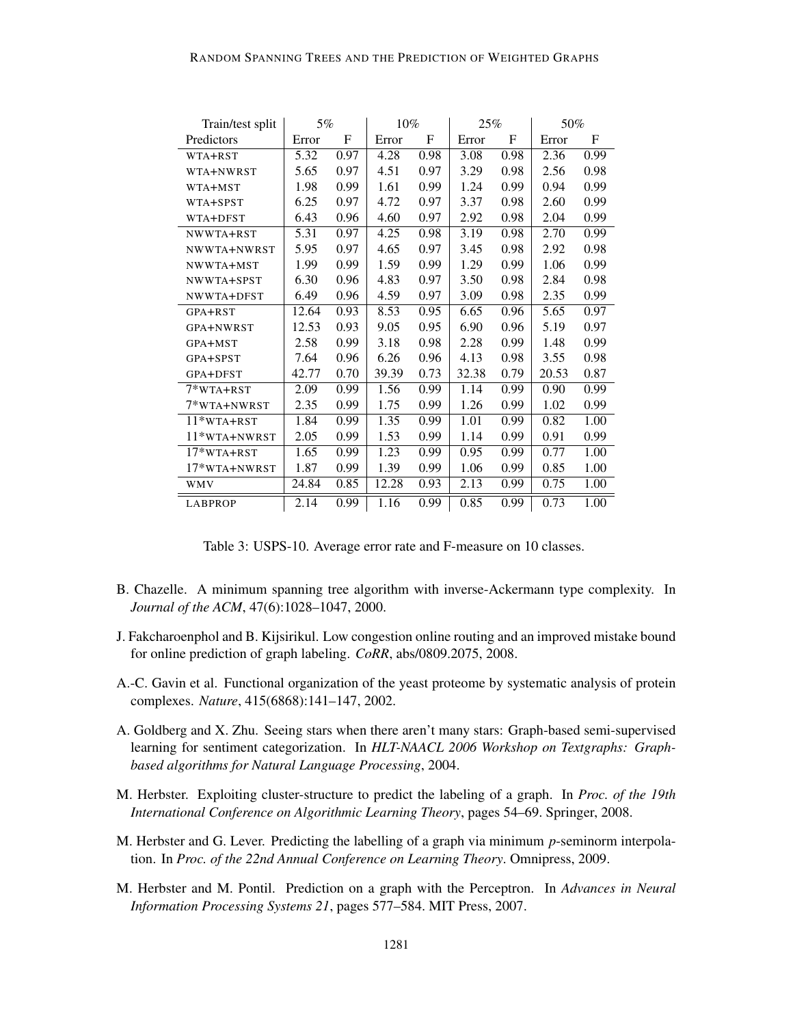| Train/test split    | 5%    |      | $10\%$ |             | 25%   |      | 50%   |      |
|---------------------|-------|------|--------|-------------|-------|------|-------|------|
| Predictors          | Error | F    | Error  | $\mathbf F$ | Error | F    | Error | F    |
| WTA+RST             | 5.32  | 0.97 | 4.28   | 0.98        | 3.08  | 0.98 | 2.36  | 0.99 |
| WTA+NWRST           | 5.65  | 0.97 | 4.51   | 0.97        | 3.29  | 0.98 | 2.56  | 0.98 |
| WTA+MST             | 1.98  | 0.99 | 1.61   | 0.99        | 1.24  | 0.99 | 0.94  | 0.99 |
| WTA+SPST            | 6.25  | 0.97 | 4.72   | 0.97        | 3.37  | 0.98 | 2.60  | 0.99 |
| WTA+DFST            | 6.43  | 0.96 | 4.60   | 0.97        | 2.92  | 0.98 | 2.04  | 0.99 |
| NWWTA+RST           | 5.31  | 0.97 | 4.25   | 0.98        | 3.19  | 0.98 | 2.70  | 0.99 |
| NWWTA+NWRST         | 5.95  | 0.97 | 4.65   | 0.97        | 3.45  | 0.98 | 2.92  | 0.98 |
| NWWTA+MST           | 1.99  | 0.99 | 1.59   | 0.99        | 1.29  | 0.99 | 1.06  | 0.99 |
| NWWTA+SPST          | 6.30  | 0.96 | 4.83   | 0.97        | 3.50  | 0.98 | 2.84  | 0.98 |
| NWWTA+DFST          | 6.49  | 0.96 | 4.59   | 0.97        | 3.09  | 0.98 | 2.35  | 0.99 |
| GPA+RST             | 12.64 | 0.93 | 8.53   | 0.95        | 6.65  | 0.96 | 5.65  | 0.97 |
| GPA+NWRST           | 12.53 | 0.93 | 9.05   | 0.95        | 6.90  | 0.96 | 5.19  | 0.97 |
| GPA+MST             | 2.58  | 0.99 | 3.18   | 0.98        | 2.28  | 0.99 | 1.48  | 0.99 |
| GPA+SPST            | 7.64  | 0.96 | 6.26   | 0.96        | 4.13  | 0.98 | 3.55  | 0.98 |
| GPA+DFST            | 42.77 | 0.70 | 39.39  | 0.73        | 32.38 | 0.79 | 20.53 | 0.87 |
| 7*WTA+RST           | 2.09  | 0.99 | 1.56   | 0.99        | 1.14  | 0.99 | 0.90  | 0.99 |
| 7*WTA+NWRST         | 2.35  | 0.99 | 1.75   | 0.99        | 1.26  | 0.99 | 1.02  | 0.99 |
| $11*$ WTA+RST       | 1.84  | 0.99 | 1.35   | 0.99        | 1.01  | 0.99 | 0.82  | 1.00 |
| $11*$ wta $+$ NWRST | 2.05  | 0.99 | 1.53   | 0.99        | 1.14  | 0.99 | 0.91  | 0.99 |
| $17*WTA+RST$        | 1.65  | 0.99 | 1.23   | 0.99        | 0.95  | 0.99 | 0.77  | 1.00 |
| 17*WTA+NWRST        | 1.87  | 0.99 | 1.39   | 0.99        | 1.06  | 0.99 | 0.85  | 1.00 |
| <b>WMV</b>          | 24.84 | 0.85 | 12.28  | 0.93        | 2.13  | 0.99 | 0.75  | 1.00 |
| <b>LABPROP</b>      | 2.14  | 0.99 | 1.16   | 0.99        | 0.85  | 0.99 | 0.73  | 1.00 |

Table 3: USPS-10. Average error rate and F-measure on 10 classes.

- B. Chazelle. A minimum spanning tree algorithm with inverse-Ackermann type complexity. In *Journal of the ACM*, 47(6):1028–1047, 2000.
- J. Fakcharoenphol and B. Kijsirikul. Low congestion online routing and an improved mistake bound for online prediction of graph labeling. *CoRR*, abs/0809.2075, 2008.
- A.-C. Gavin et al. Functional organization of the yeast proteome by systematic analysis of protein complexes. *Nature*, 415(6868):141–147, 2002.
- A. Goldberg and X. Zhu. Seeing stars when there aren't many stars: Graph-based semi-supervised learning for sentiment categorization. In *HLT-NAACL 2006 Workshop on Textgraphs: Graphbased algorithms for Natural Language Processing*, 2004.
- M. Herbster. Exploiting cluster-structure to predict the labeling of a graph. In *Proc. of the 19th International Conference on Algorithmic Learning Theory*, pages 54–69. Springer, 2008.
- M. Herbster and G. Lever. Predicting the labelling of a graph via minimum *p*-seminorm interpolation. In *Proc. of the 22nd Annual Conference on Learning Theory*. Omnipress, 2009.
- M. Herbster and M. Pontil. Prediction on a graph with the Perceptron. In *Advances in Neural Information Processing Systems 21*, pages 577–584. MIT Press, 2007.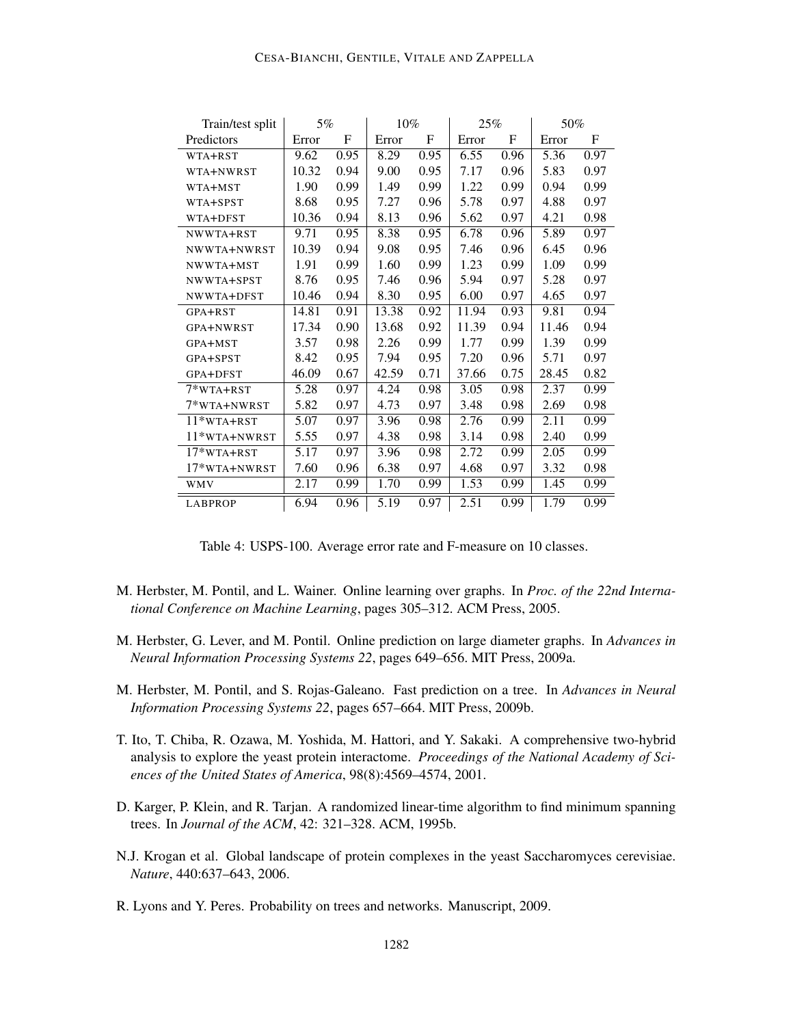### CESA-BIANCHI, GENTILE, VITALE AND ZAPPELLA

| Train/test split | 5%    |             | 10%   |      | 25%   |      | 50%   |      |
|------------------|-------|-------------|-------|------|-------|------|-------|------|
| Predictors       | Error | $\mathbf F$ | Error | F    | Error | F    | Error | F    |
| WTA+RST          | 9.62  | 0.95        | 8.29  | 0.95 | 6.55  | 0.96 | 5.36  | 0.97 |
| WTA+NWRST        | 10.32 | 0.94        | 9.00  | 0.95 | 7.17  | 0.96 | 5.83  | 0.97 |
| WTA+MST          | 1.90  | 0.99        | 1.49  | 0.99 | 1.22  | 0.99 | 0.94  | 0.99 |
| WTA+SPST         | 8.68  | 0.95        | 7.27  | 0.96 | 5.78  | 0.97 | 4.88  | 0.97 |
| WTA+DFST         | 10.36 | 0.94        | 8.13  | 0.96 | 5.62  | 0.97 | 4.21  | 0.98 |
| NWWTA+RST        | 9.71  | 0.95        | 8.38  | 0.95 | 6.78  | 0.96 | 5.89  | 0.97 |
| NWWTA+NWRST      | 10.39 | 0.94        | 9.08  | 0.95 | 7.46  | 0.96 | 6.45  | 0.96 |
| NWWTA+MST        | 1.91  | 0.99        | 1.60  | 0.99 | 1.23  | 0.99 | 1.09  | 0.99 |
| NWWTA+SPST       | 8.76  | 0.95        | 7.46  | 0.96 | 5.94  | 0.97 | 5.28  | 0.97 |
| NWWTA+DFST       | 10.46 | 0.94        | 8.30  | 0.95 | 6.00  | 0.97 | 4.65  | 0.97 |
| GPA+RST          | 14.81 | 0.91        | 13.38 | 0.92 | 11.94 | 0.93 | 9.81  | 0.94 |
| GPA+NWRST        | 17.34 | 0.90        | 13.68 | 0.92 | 11.39 | 0.94 | 11.46 | 0.94 |
| GPA+MST          | 3.57  | 0.98        | 2.26  | 0.99 | 1.77  | 0.99 | 1.39  | 0.99 |
| GPA+SPST         | 8.42  | 0.95        | 7.94  | 0.95 | 7.20  | 0.96 | 5.71  | 0.97 |
| GPA+DFST         | 46.09 | 0.67        | 42.59 | 0.71 | 37.66 | 0.75 | 28.45 | 0.82 |
| $7*$ WTA+RST     | 5.28  | 0.97        | 4.24  | 0.98 | 3.05  | 0.98 | 2.37  | 0.99 |
| 7*WTA+NWRST      | 5.82  | 0.97        | 4.73  | 0.97 | 3.48  | 0.98 | 2.69  | 0.98 |
| $11*$ WTA+RST    | 5.07  | 0.97        | 3.96  | 0.98 | 2.76  | 0.99 | 2.11  | 0.99 |
| $11*$ wta+nwrst  | 5.55  | 0.97        | 4.38  | 0.98 | 3.14  | 0.98 | 2.40  | 0.99 |
| 17*WTA+RST       | 5.17  | 0.97        | 3.96  | 0.98 | 2.72  | 0.99 | 2.05  | 0.99 |
| $17*$ WTA+NWRST  | 7.60  | 0.96        | 6.38  | 0.97 | 4.68  | 0.97 | 3.32  | 0.98 |
| <b>WMV</b>       | 2.17  | 0.99        | 1.70  | 0.99 | 1.53  | 0.99 | 1.45  | 0.99 |
| <b>LABPROP</b>   | 6.94  | 0.96        | 5.19  | 0.97 | 2.51  | 0.99 | 1.79  | 0.99 |

Table 4: USPS-100. Average error rate and F-measure on 10 classes.

- M. Herbster, M. Pontil, and L. Wainer. Online learning over graphs. In *Proc. of the 22nd International Conference on Machine Learning*, pages 305–312. ACM Press, 2005.
- M. Herbster, G. Lever, and M. Pontil. Online prediction on large diameter graphs. In *Advances in Neural Information Processing Systems 22*, pages 649–656. MIT Press, 2009a.
- M. Herbster, M. Pontil, and S. Rojas-Galeano. Fast prediction on a tree. In *Advances in Neural Information Processing Systems 22*, pages 657–664. MIT Press, 2009b.
- T. Ito, T. Chiba, R. Ozawa, M. Yoshida, M. Hattori, and Y. Sakaki. A comprehensive two-hybrid analysis to explore the yeast protein interactome. *Proceedings of the National Academy of Sciences of the United States of America*, 98(8):4569–4574, 2001.
- D. Karger, P. Klein, and R. Tarjan. A randomized linear-time algorithm to find minimum spanning trees. In *Journal of the ACM*, 42: 321–328. ACM, 1995b.
- N.J. Krogan et al. Global landscape of protein complexes in the yeast Saccharomyces cerevisiae. *Nature*, 440:637–643, 2006.
- R. Lyons and Y. Peres. Probability on trees and networks. Manuscript, 2009.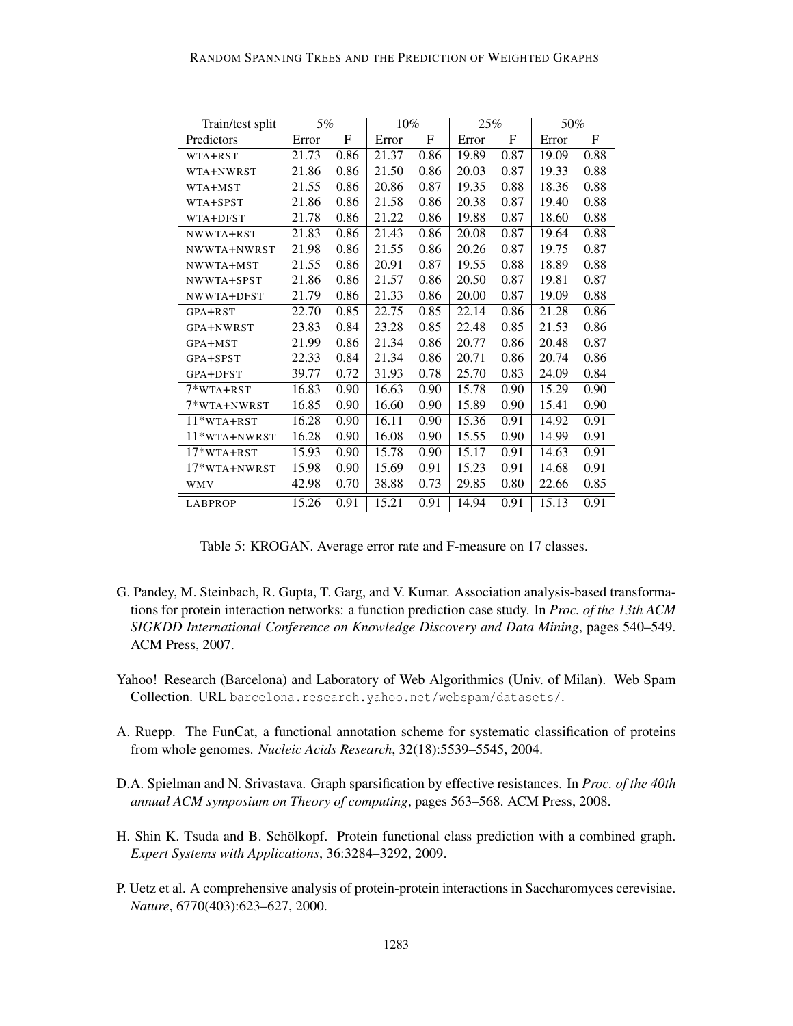| Train/test split | 5%    |      | 10%   |      | 25%   |             | 50%   |             |
|------------------|-------|------|-------|------|-------|-------------|-------|-------------|
| Predictors       | Error | F    | Error | F    | Error | $\mathbf F$ | Error | $\mathbf F$ |
| WTA+RST          | 21.73 | 0.86 | 21.37 | 0.86 | 19.89 | 0.87        | 19.09 | 0.88        |
| WTA+NWRST        | 21.86 | 0.86 | 21.50 | 0.86 | 20.03 | 0.87        | 19.33 | 0.88        |
| WTA+MST          | 21.55 | 0.86 | 20.86 | 0.87 | 19.35 | 0.88        | 18.36 | 0.88        |
| WTA+SPST         | 21.86 | 0.86 | 21.58 | 0.86 | 20.38 | 0.87        | 19.40 | 0.88        |
| WTA+DFST         | 21.78 | 0.86 | 21.22 | 0.86 | 19.88 | 0.87        | 18.60 | 0.88        |
| NWWTA+RST        | 21.83 | 0.86 | 21.43 | 0.86 | 20.08 | 0.87        | 19.64 | 0.88        |
| NWWTA+NWRST      | 21.98 | 0.86 | 21.55 | 0.86 | 20.26 | 0.87        | 19.75 | 0.87        |
| NWWTA+MST        | 21.55 | 0.86 | 20.91 | 0.87 | 19.55 | 0.88        | 18.89 | 0.88        |
| NWWTA+SPST       | 21.86 | 0.86 | 21.57 | 0.86 | 20.50 | 0.87        | 19.81 | 0.87        |
| NWWTA+DFST       | 21.79 | 0.86 | 21.33 | 0.86 | 20.00 | 0.87        | 19.09 | 0.88        |
| GPA+RST          | 22.70 | 0.85 | 22.75 | 0.85 | 22.14 | 0.86        | 21.28 | 0.86        |
| GPA+NWRST        | 23.83 | 0.84 | 23.28 | 0.85 | 22.48 | 0.85        | 21.53 | 0.86        |
| GPA+MST          | 21.99 | 0.86 | 21.34 | 0.86 | 20.77 | 0.86        | 20.48 | 0.87        |
| GPA+SPST         | 22.33 | 0.84 | 21.34 | 0.86 | 20.71 | 0.86        | 20.74 | 0.86        |
| GPA+DFST         | 39.77 | 0.72 | 31.93 | 0.78 | 25.70 | 0.83        | 24.09 | 0.84        |
| $7*$ WTA+RST     | 16.83 | 0.90 | 16.63 | 0.90 | 15.78 | 0.90        | 15.29 | 0.90        |
| 7*WTA+NWRST      | 16.85 | 0.90 | 16.60 | 0.90 | 15.89 | 0.90        | 15.41 | 0.90        |
| 11*WTA+RST       | 16.28 | 0.90 | 16.11 | 0.90 | 15.36 | 0.91        | 14.92 | 0.91        |
| $11*$ WTA+NWRST  | 16.28 | 0.90 | 16.08 | 0.90 | 15.55 | 0.90        | 14.99 | 0.91        |
| 17*WTA+RST       | 15.93 | 0.90 | 15.78 | 0.90 | 15.17 | 0.91        | 14.63 | 0.91        |
| 17*WTA+NWRST     | 15.98 | 0.90 | 15.69 | 0.91 | 15.23 | 0.91        | 14.68 | 0.91        |
| <b>WMV</b>       | 42.98 | 0.70 | 38.88 | 0.73 | 29.85 | 0.80        | 22.66 | 0.85        |
| <b>LABPROP</b>   | 15.26 | 0.91 | 15.21 | 0.91 | 14.94 | 0.91        | 15.13 | 0.91        |

Table 5: KROGAN. Average error rate and F-measure on 17 classes.

- G. Pandey, M. Steinbach, R. Gupta, T. Garg, and V. Kumar. Association analysis-based transformations for protein interaction networks: a function prediction case study. In *Proc. of the 13th ACM SIGKDD International Conference on Knowledge Discovery and Data Mining*, pages 540–549. ACM Press, 2007.
- Yahoo! Research (Barcelona) and Laboratory of Web Algorithmics (Univ. of Milan). Web Spam Collection. URL barcelona.research.yahoo.net/webspam/datasets/.
- A. Ruepp. The FunCat, a functional annotation scheme for systematic classification of proteins from whole genomes. *Nucleic Acids Research*, 32(18):5539–5545, 2004.
- D.A. Spielman and N. Srivastava. Graph sparsification by effective resistances. In *Proc. of the 40th annual ACM symposium on Theory of computing*, pages 563–568. ACM Press, 2008.
- H. Shin K. Tsuda and B. Schölkopf. Protein functional class prediction with a combined graph. *Expert Systems with Applications*, 36:3284–3292, 2009.
- P. Uetz et al. A comprehensive analysis of protein-protein interactions in Saccharomyces cerevisiae. *Nature*, 6770(403):623–627, 2000.